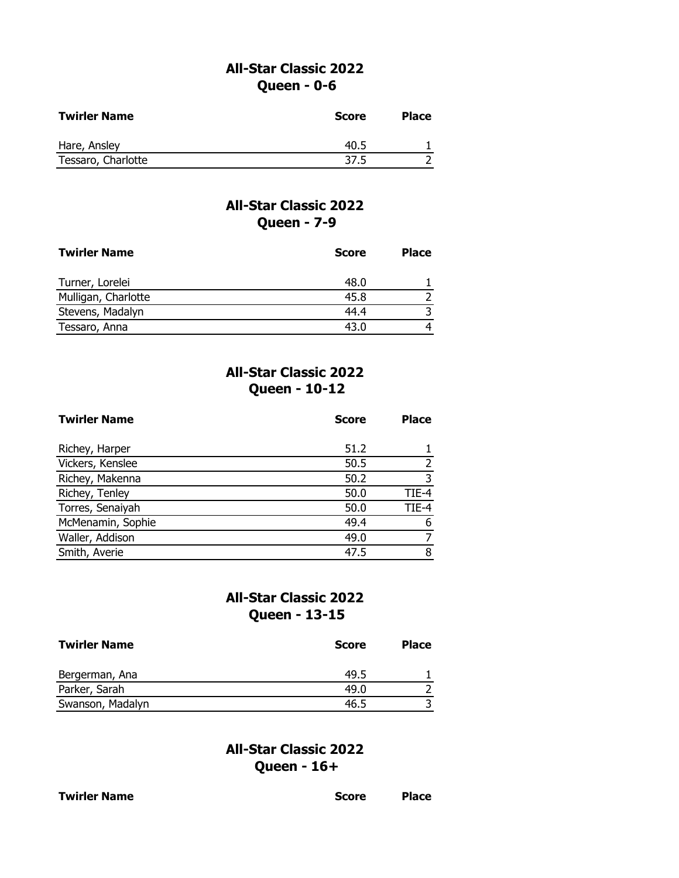### **All-Star Classic 2022 Queen - 0-6**

| <b>Twirler Name</b> | Score | <b>Place</b> |
|---------------------|-------|--------------|
| Hare, Ansley        | 40.5  |              |
| Tessaro, Charlotte  | 37.5  |              |

# **All-Star Classic 2022 Queen - 7-9**

| <b>Twirler Name</b> | <b>Score</b> | <b>Place</b> |
|---------------------|--------------|--------------|
| Turner, Lorelei     | 48.0         |              |
| Mulligan, Charlotte | 45.8         |              |
| Stevens, Madalyn    | 44.4         |              |
| Tessaro, Anna       | 43.0         |              |

# **All-Star Classic 2022 Queen - 10-12**

| <b>Twirler Name</b> | <b>Score</b> | <b>Place</b> |
|---------------------|--------------|--------------|
|                     |              |              |
| Richey, Harper      | 51.2         |              |
| Vickers, Kenslee    | 50.5         |              |
| Richey, Makenna     | 50.2         | 3            |
| Richey, Tenley      | 50.0         | TIE-4        |
| Torres, Senaiyah    | 50.0         | TIE-4        |
| McMenamin, Sophie   | 49.4         | 6            |
| Waller, Addison     | 49.0         |              |
| Smith, Averie       | 47.5         | 8            |

## **All-Star Classic 2022 Queen - 13-15**

| <b>Twirler Name</b> | <b>Score</b> | <b>Place</b> |
|---------------------|--------------|--------------|
| Bergerman, Ana      | 49.5         |              |
| Parker, Sarah       | 49.0         |              |
| Swanson, Madalyn    | 46.5         |              |

# **All-Star Classic 2022 Queen - 16+**

| <b>Twirler Name</b> | <b>Score</b> | <b>Place</b> |
|---------------------|--------------|--------------|
|                     |              |              |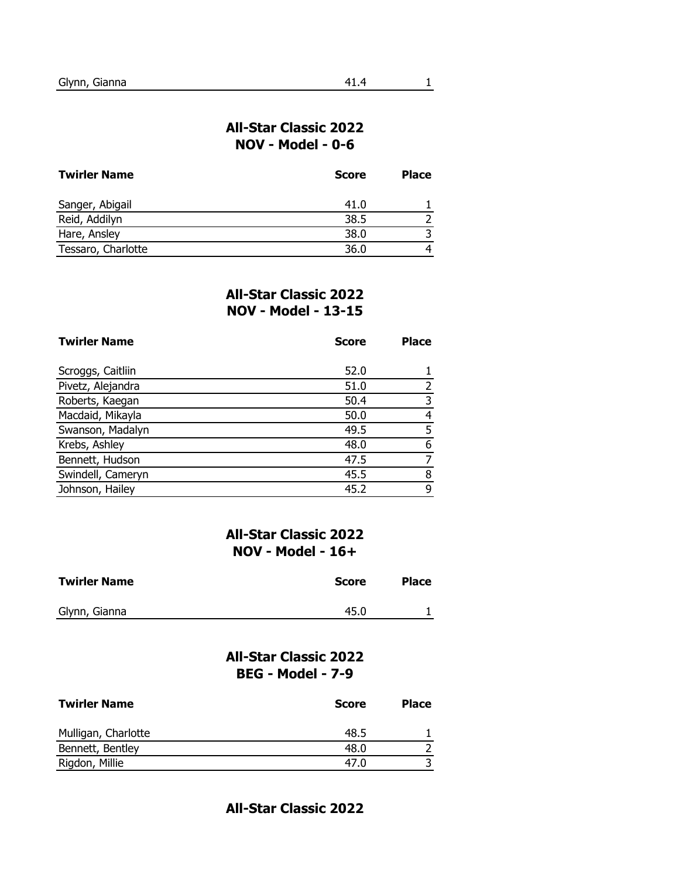#### **All-Star Classic 2022 NOV - Model - 0-6**

| <b>Twirler Name</b> | <b>Score</b> | <b>Place</b> |
|---------------------|--------------|--------------|
| Sanger, Abigail     | 41.0         |              |
| Reid, Addilyn       | 38.5         |              |
| Hare, Ansley        | 38.0         |              |
| Tessaro, Charlotte  | 36.0         |              |

#### **All-Star Classic 2022 NOV - Model - 13-15**

| <b>Twirler Name</b> | <b>Score</b> | <b>Place</b> |
|---------------------|--------------|--------------|
|                     |              |              |
| Scroggs, Caitliin   | 52.0         |              |
| Pivetz, Alejandra   | 51.0         |              |
| Roberts, Kaegan     | 50.4         | 3            |
| Macdaid, Mikayla    | 50.0         | 4            |
| Swanson, Madalyn    | 49.5         | 5            |
| Krebs, Ashley       | 48.0         | 6            |
| Bennett, Hudson     | 47.5         |              |
| Swindell, Cameryn   | 45.5         | 8            |
| Johnson, Hailey     | 45.2         | 9            |

### **All-Star Classic 2022 NOV - Model - 16+**

| <b>Twirler Name</b> | <b>Score</b> | <b>Place</b> |
|---------------------|--------------|--------------|
| Glynn, Gianna       | 45.0         |              |

### **All-Star Classic 2022 BEG - Model - 7-9**

| <b>Twirler Name</b> | <b>Score</b> | <b>Place</b> |
|---------------------|--------------|--------------|
| Mulligan, Charlotte | 48.5         |              |
| Bennett, Bentley    | 48.0         |              |
| Rigdon, Millie      | 47.0         |              |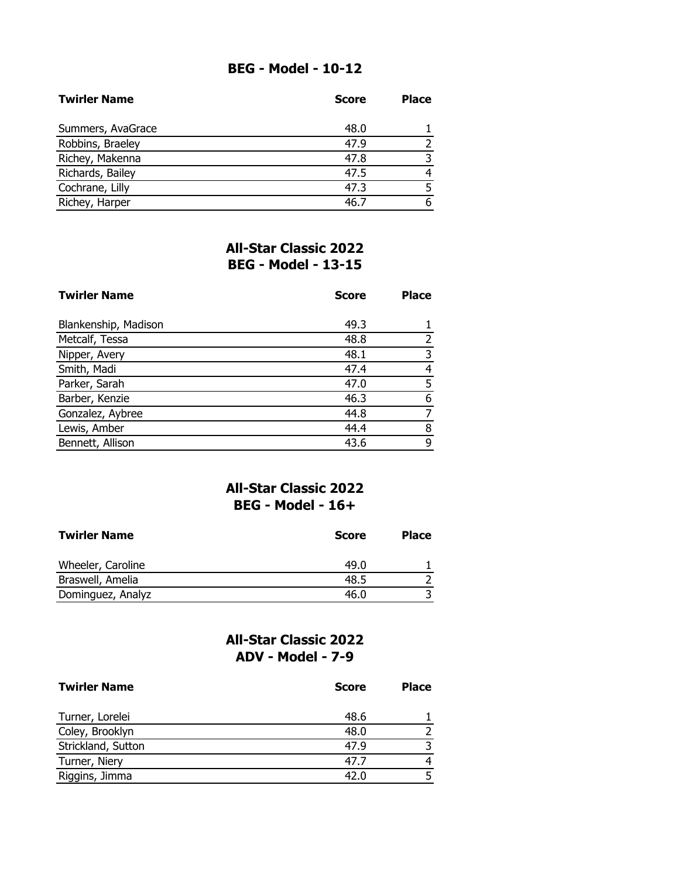## **BEG - Model - 10-12**

| <b>Twirler Name</b> | <b>Score</b> | <b>Place</b> |
|---------------------|--------------|--------------|
| Summers, AvaGrace   | 48.0         |              |
| Robbins, Braeley    | 47.9         |              |
| Richey, Makenna     | 47.8         |              |
| Richards, Bailey    | 47.5         |              |
| Cochrane, Lilly     | 47.3         |              |
| Richey, Harper      | 46.7         |              |

# **All-Star Classic 2022 BEG - Model - 13-15**

| <b>Twirler Name</b>  | <b>Score</b> | <b>Place</b> |  |
|----------------------|--------------|--------------|--|
|                      |              |              |  |
| Blankenship, Madison | 49.3         |              |  |
| Metcalf, Tessa       | 48.8         | 2            |  |
| Nipper, Avery        | 48.1         | 3            |  |
| Smith, Madi          | 47.4         | 4            |  |
| Parker, Sarah        | 47.0         | 5            |  |
| Barber, Kenzie       | 46.3         | 6            |  |
| Gonzalez, Aybree     | 44.8         |              |  |
| Lewis, Amber         | 44.4         | 8            |  |
| Bennett, Allison     | 43.6         | 9            |  |

#### **All-Star Classic 2022 BEG - Model - 16+**

| <b>Twirler Name</b> | <b>Score</b> | <b>Place</b> |
|---------------------|--------------|--------------|
| Wheeler, Caroline   | 49.0         |              |
| Braswell, Amelia    | 48.5         |              |
| Dominguez, Analyz   | 46.0         |              |

## **All-Star Classic 2022 ADV - Model - 7-9**

| <b>Twirler Name</b> | <b>Score</b> | <b>Place</b> |
|---------------------|--------------|--------------|
| Turner, Lorelei     | 48.6         |              |
| Coley, Brooklyn     | 48.0         |              |
| Strickland, Sutton  | 47.9         |              |
| Turner, Niery       | 47.7         |              |
| Riggins, Jimma      | 42.0         |              |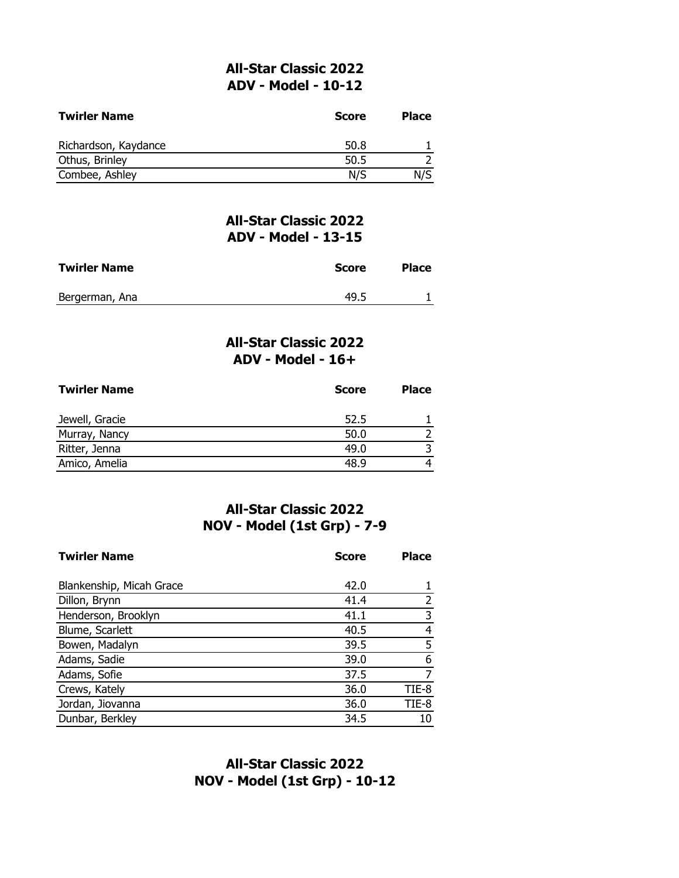### **All-Star Classic 2022 ADV - Model - 10-12**

| <b>Twirler Name</b>  | <b>Score</b> | <b>Place</b> |
|----------------------|--------------|--------------|
| Richardson, Kaydance | 50.8         |              |
| Othus, Brinley       | 50.5         |              |
| Combee, Ashley       | N/S          | N/S          |

### **All-Star Classic 2022 ADV - Model - 13-15**

| <b>Twirler Name</b> | Score | <b>Place</b> |
|---------------------|-------|--------------|
| Bergerman, Ana      | 49.5  |              |

### **All-Star Classic 2022 ADV - Model - 16+**

| <b>Twirler Name</b> | <b>Score</b> | <b>Place</b> |
|---------------------|--------------|--------------|
| Jewell, Gracie      | 52.5         |              |
| Murray, Nancy       | 50.0         |              |
| Ritter, Jenna       | 49.0         |              |
| Amico, Amelia       | 48.9         |              |

## **All-Star Classic 2022 NOV - Model (1st Grp) - 7-9**

| <b>Twirler Name</b>      | <b>Score</b> | <b>Place</b> |
|--------------------------|--------------|--------------|
| Blankenship, Micah Grace | 42.0         |              |
| Dillon, Brynn            | 41.4         |              |
| Henderson, Brooklyn      | 41.1         | 3            |
| Blume, Scarlett          | 40.5         | 4            |
| Bowen, Madalyn           | 39.5         | 5            |
| Adams, Sadie             | 39.0         | 6            |
| Adams, Sofie             | 37.5         | 7            |
| Crews, Kately            | 36.0         | TIE-8        |
| Jordan, Jiovanna         | 36.0         | TIE-8        |
| Dunbar, Berkley          | 34.5         |              |

# **All-Star Classic 2022 NOV - Model (1st Grp) - 10-12**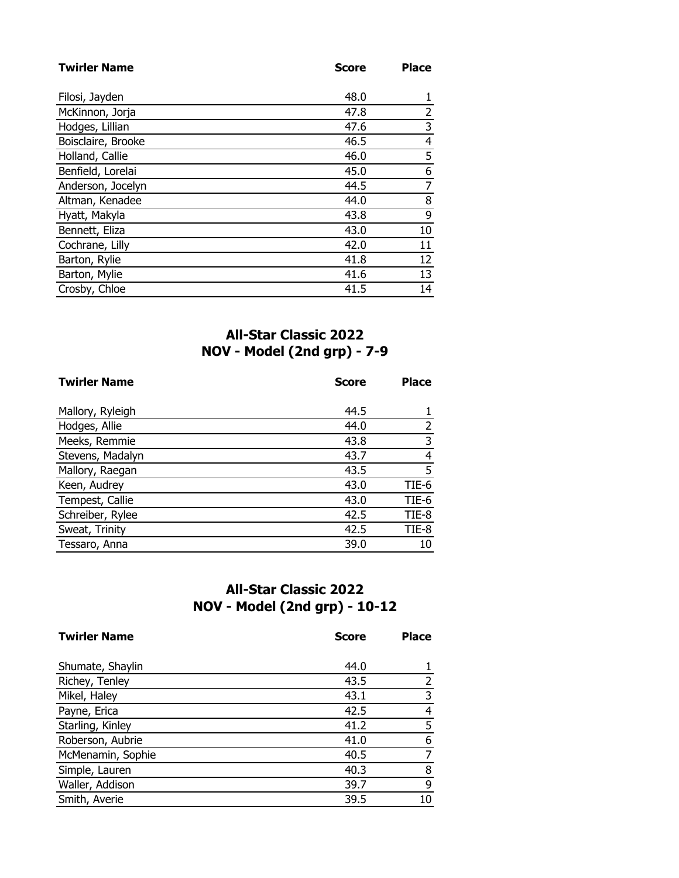| <b>Twirler Name</b> | <b>Score</b> | <b>Place</b>   |
|---------------------|--------------|----------------|
|                     |              |                |
| Filosi, Jayden      | 48.0         |                |
| McKinnon, Jorja     | 47.8         | 2              |
| Hodges, Lillian     | 47.6         | 3              |
| Boisclaire, Brooke  | 46.5         | $\overline{4}$ |
| Holland, Callie     | 46.0         | 5              |
| Benfield, Lorelai   | 45.0         | 6              |
| Anderson, Jocelyn   | 44.5         | 7              |
| Altman, Kenadee     | 44.0         | 8              |
| Hyatt, Makyla       | 43.8         | 9              |
| Bennett, Eliza      | 43.0         | 10             |
| Cochrane, Lilly     | 42.0         | 11             |
| Barton, Rylie       | 41.8         | 12             |
| Barton, Mylie       | 41.6         | 13             |
| Crosby, Chloe       | 41.5         | 14             |

# **All-Star Classic 2022 NOV - Model (2nd grp) - 7-9**

| <b>Twirler Name</b> | <b>Score</b> | <b>Place</b> |
|---------------------|--------------|--------------|
|                     |              |              |
| Mallory, Ryleigh    | 44.5         |              |
| Hodges, Allie       | 44.0         | 2            |
| Meeks, Remmie       | 43.8         | 3            |
| Stevens, Madalyn    | 43.7         | 4            |
| Mallory, Raegan     | 43.5         | 5            |
| Keen, Audrey        | 43.0         | TIE-6        |
| Tempest, Callie     | 43.0         | TIE-6        |
| Schreiber, Rylee    | 42.5         | TIE-8        |
| Sweat, Trinity      | 42.5         | TIE-8        |
| Tessaro, Anna       | 39.0         | 10           |

# **All-Star Classic 2022 NOV - Model (2nd grp) - 10-12**

| <b>Twirler Name</b> | <b>Score</b> | <b>Place</b> |
|---------------------|--------------|--------------|
|                     |              |              |
| Shumate, Shaylin    | 44.0         |              |
| Richey, Tenley      | 43.5         |              |
| Mikel, Haley        | 43.1         | 3            |
| Payne, Erica        | 42.5         | 4            |
| Starling, Kinley    | 41.2         | 5            |
| Roberson, Aubrie    | 41.0         | 6            |
| McMenamin, Sophie   | 40.5         |              |
| Simple, Lauren      | 40.3         | 8            |
| Waller, Addison     | 39.7         | 9            |
| Smith, Averie       | 39.5         | 10           |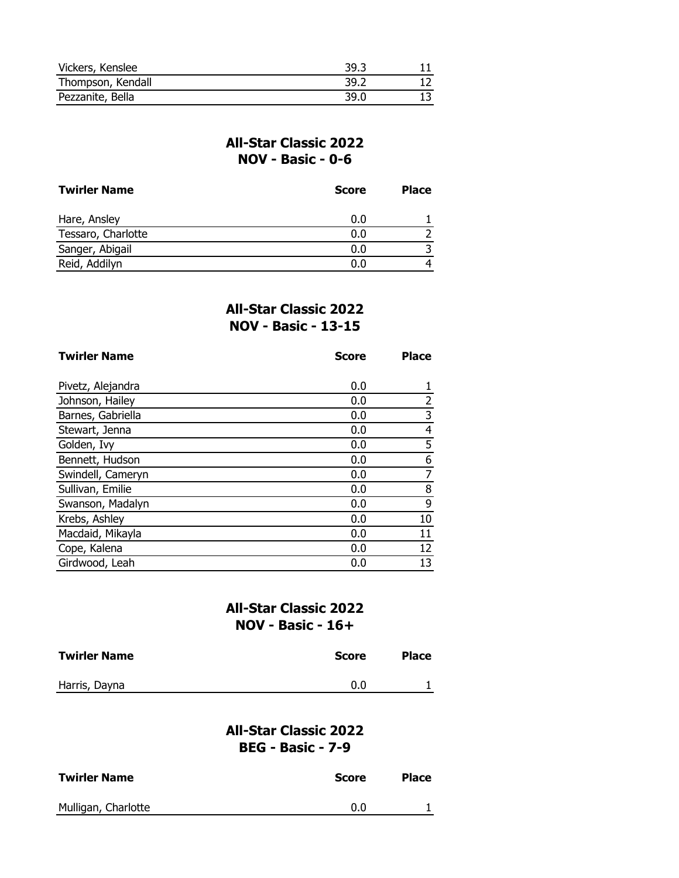| Vickers, Kenslee  | 39.3 |  |
|-------------------|------|--|
| Thompson, Kendall | 39.2 |  |
| Pezzanite, Bella  | 39.0 |  |

### **All-Star Classic 2022 NOV - Basic - 0-6**

| <b>Twirler Name</b> | <b>Score</b> | <b>Place</b> |
|---------------------|--------------|--------------|
| Hare, Ansley        | 0.0          |              |
| Tessaro, Charlotte  | 0.0          |              |
| Sanger, Abigail     | 0.0          |              |
| Reid, Addilyn       | 0.0          |              |

### **All-Star Classic 2022 NOV - Basic - 13-15**

| <b>Twirler Name</b> | <b>Score</b> | <b>Place</b>   |
|---------------------|--------------|----------------|
|                     |              |                |
| Pivetz, Alejandra   | 0.0          |                |
| Johnson, Hailey     | 0.0          | $\overline{2}$ |
| Barnes, Gabriella   | 0.0          | 3              |
| Stewart, Jenna      | 0.0          | 4              |
| Golden, Ivy         | 0.0          | 5              |
| Bennett, Hudson     | 0.0          | 6              |
| Swindell, Cameryn   | 0.0          | 7              |
| Sullivan, Emilie    | 0.0          | 8              |
| Swanson, Madalyn    | 0.0          | 9              |
| Krebs, Ashley       | 0.0          | 10             |
| Macdaid, Mikayla    | 0.0          | 11             |
| Cope, Kalena        | 0.0          | 12             |
| Girdwood, Leah      | 0.0          | 13             |

# **All-Star Classic 2022 NOV - Basic - 16+**

| <b>Twirler Name</b> | Score | <b>Place</b> |
|---------------------|-------|--------------|
| Harris, Dayna       | 0.0   |              |

## **All-Star Classic 2022 BEG - Basic - 7-9**

| <b>Twirler Name</b> | <b>Score</b> | <b>Place</b> |
|---------------------|--------------|--------------|
| Mulligan, Charlotte | 0.0          |              |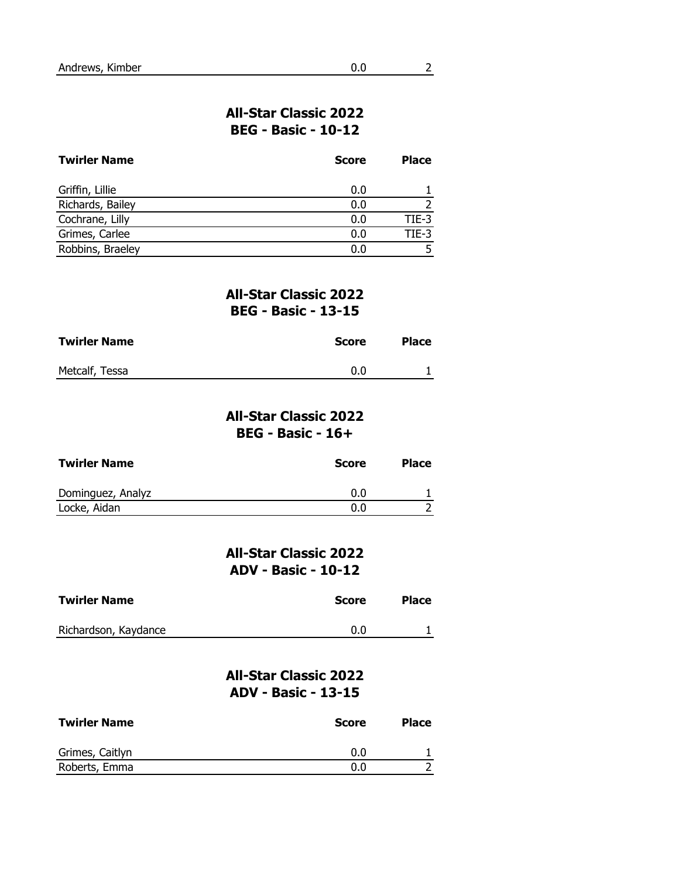| <b>Twirler Name</b> | <b>Score</b> | <b>Place</b> |
|---------------------|--------------|--------------|
| Griffin, Lillie     | 0.0          |              |
| Richards, Bailey    | 0.0          |              |
| Cochrane, Lilly     | 0.0          | $TIE-3$      |
| Grimes, Carlee      | 0.0          | $TIE-3$      |
| Robbins, Braeley    |              |              |

### **All-Star Classic 2022 BEG - Basic - 13-15**

| <b>Twirler Name</b> | Score | <b>Place</b> |
|---------------------|-------|--------------|
| Metcalf, Tessa      | 0.0   |              |

### **All-Star Classic 2022 BEG - Basic - 16+**

| <b>Twirler Name</b> | <b>Score</b> | <b>Place</b> |
|---------------------|--------------|--------------|
| Dominguez, Analyz   | 0.0          |              |
| Locke, Aidan        | 0.0          |              |

## **All-Star Classic 2022 ADV - Basic - 10-12**

| <b>Twirler Name</b>  | Score | Place |
|----------------------|-------|-------|
| Richardson, Kaydance | 0.0   |       |

## **All-Star Classic 2022 ADV - Basic - 13-15**

| <b>Twirler Name</b> | <b>Score</b> | <b>Place</b> |
|---------------------|--------------|--------------|
| Grimes, Caitlyn     | 0.0          |              |
| Roberts, Emma       | 0.0          |              |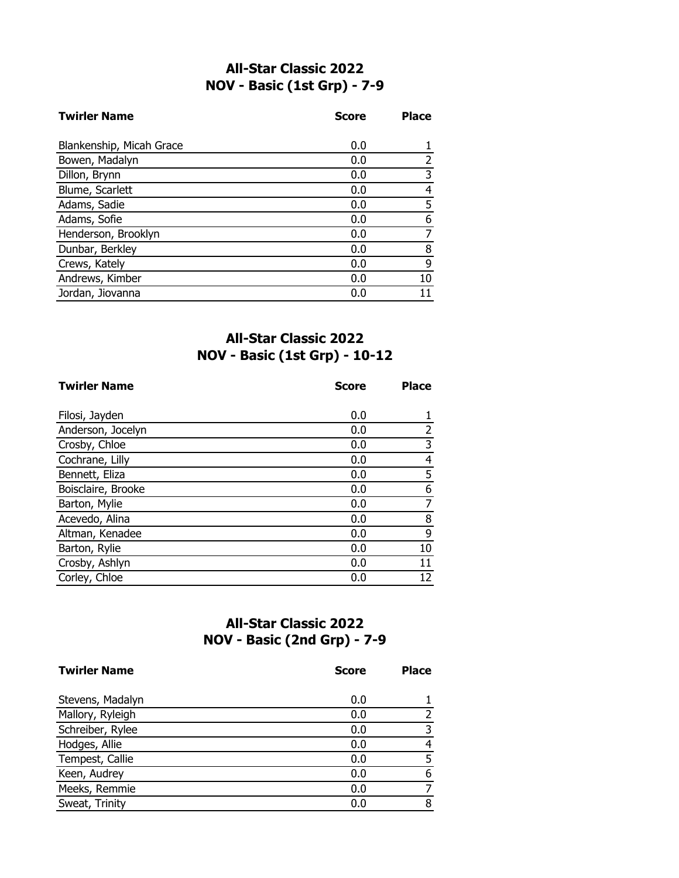# **All-Star Classic 2022 NOV - Basic (1st Grp) - 7-9**

| <b>Twirler Name</b>      | <b>Score</b> | <b>Place</b> |
|--------------------------|--------------|--------------|
|                          |              |              |
| Blankenship, Micah Grace | 0.0          |              |
| Bowen, Madalyn           | 0.0          |              |
| Dillon, Brynn            | 0.0          | 3            |
| Blume, Scarlett          | 0.0          | 4            |
| Adams, Sadie             | 0.0          | 5            |
| Adams, Sofie             | 0.0          | 6            |
| Henderson, Brooklyn      | 0.0          |              |
| Dunbar, Berkley          | 0.0          | 8            |
| Crews, Kately            | 0.0          | 9            |
| Andrews, Kimber          | 0.0          | 10           |
| Jordan, Jiovanna         | 0.0          |              |

# **All-Star Classic 2022 NOV - Basic (1st Grp) - 10-12**

| <b>Twirler Name</b> | <b>Score</b> | <b>Place</b> |
|---------------------|--------------|--------------|
|                     |              |              |
| Filosi, Jayden      | 0.0          |              |
| Anderson, Jocelyn   | 0.0          | 2            |
| Crosby, Chloe       | 0.0          | 3            |
| Cochrane, Lilly     | 0.0          | 4            |
| Bennett, Eliza      | 0.0          | 5            |
| Boisclaire, Brooke  | 0.0          | 6            |
| Barton, Mylie       | 0.0          | 7            |
| Acevedo, Alina      | 0.0          | 8            |
| Altman, Kenadee     | 0.0          | 9            |
| Barton, Rylie       | 0.0          | 10           |
| Crosby, Ashlyn      | 0.0          | 11           |
| Corley, Chloe       | 0.0          | 12           |

# **All-Star Classic 2022 NOV - Basic (2nd Grp) - 7-9**

| <b>Twirler Name</b> | <b>Score</b> | <b>Place</b> |
|---------------------|--------------|--------------|
| Stevens, Madalyn    | 0.0          |              |
| Mallory, Ryleigh    | 0.0          |              |
| Schreiber, Rylee    | 0.0          | 3            |
| Hodges, Allie       | 0.0          | 4            |
| Tempest, Callie     | 0.0          |              |
| Keen, Audrey        | 0.0          | 6            |
| Meeks, Remmie       | 0.0          |              |
| Sweat, Trinity      | 0.0          | 8            |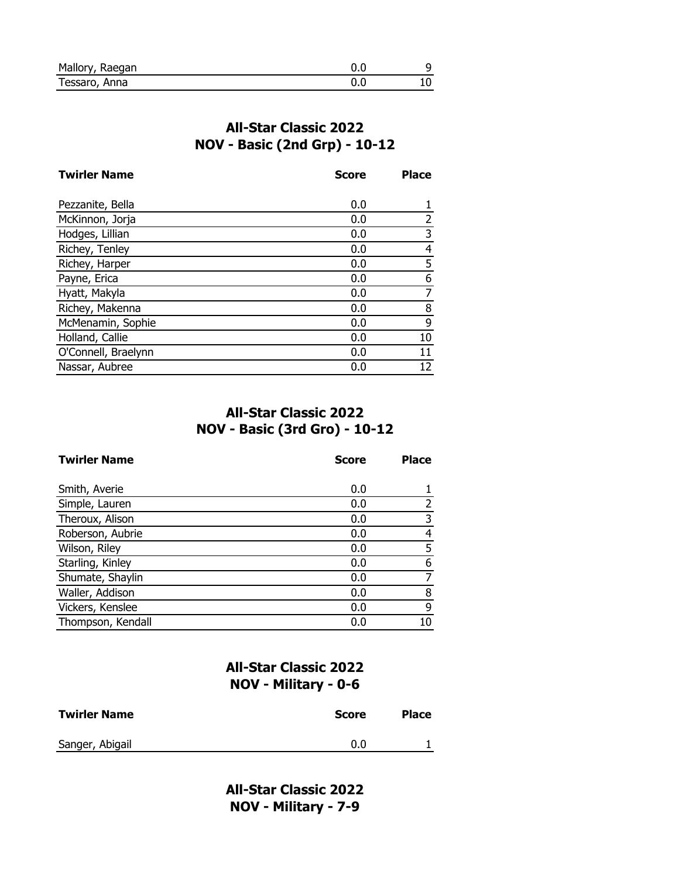| Mallory, Raegan |  |
|-----------------|--|
| Tessaro, Anna   |  |

# **All-Star Classic 2022 NOV - Basic (2nd Grp) - 10-12**

| <b>Twirler Name</b> | <b>Score</b> | <b>Place</b> |
|---------------------|--------------|--------------|
|                     |              |              |
| Pezzanite, Bella    | 0.0          |              |
| McKinnon, Jorja     | 0.0          | 2            |
| Hodges, Lillian     | 0.0          | 3            |
| Richey, Tenley      | 0.0          | 4            |
| Richey, Harper      | 0.0          | 5            |
| Payne, Erica        | 0.0          | 6            |
| Hyatt, Makyla       | 0.0          | 7            |
| Richey, Makenna     | 0.0          | 8            |
| McMenamin, Sophie   | 0.0          | 9            |
| Holland, Callie     | 0.0          | 10           |
| O'Connell, Braelynn | 0.0          | 11           |
| Nassar, Aubree      | 0.0          | 12           |

# **All-Star Classic 2022 NOV - Basic (3rd Gro) - 10-12**

| <b>Twirler Name</b> | <b>Score</b> | <b>Place</b> |
|---------------------|--------------|--------------|
| Smith, Averie       | 0.0          |              |
| Simple, Lauren      | 0.0          |              |
| Theroux, Alison     | 0.0          | 3            |
| Roberson, Aubrie    | 0.0          | 4            |
| Wilson, Riley       | 0.0          | 5            |
| Starling, Kinley    | 0.0          | 6            |
| Shumate, Shaylin    | 0.0          |              |
| Waller, Addison     | 0.0          | 8            |
| Vickers, Kenslee    | 0.0          | 9            |
| Thompson, Kendall   | 0.0          | 10           |

## **All-Star Classic 2022 NOV - Military - 0-6**

| <b>Twirler Name</b> | <b>Score</b> | <b>Place</b> |
|---------------------|--------------|--------------|
| Sanger, Abigail     | 0.0          |              |

**All-Star Classic 2022 NOV - Military - 7-9**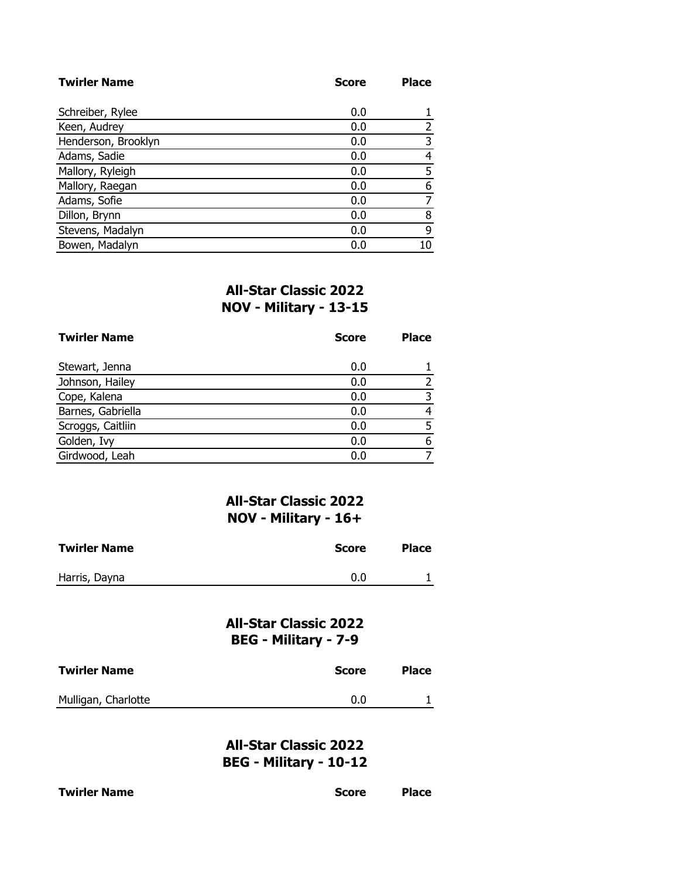| <b>Twirler Name</b> | <b>Score</b> | <b>Place</b> |
|---------------------|--------------|--------------|
|                     |              |              |
| Schreiber, Rylee    | 0.0          |              |
| Keen, Audrey        | 0.0          | 2            |
| Henderson, Brooklyn | 0.0          | 3            |
| Adams, Sadie        | 0.0          | 4            |
| Mallory, Ryleigh    | 0.0          | 5            |
| Mallory, Raegan     | 0.0          | 6            |
| Adams, Sofie        | 0.0          |              |
| Dillon, Brynn       | 0.0          | 8            |
| Stevens, Madalyn    | 0.0          | 9            |
| Bowen, Madalyn      | 0.0          | 10           |

## **All-Star Classic 2022 NOV - Military - 13-15**

| <b>Twirler Name</b> | <b>Score</b> | <b>Place</b> |
|---------------------|--------------|--------------|
| Stewart, Jenna      | 0.0          |              |
| Johnson, Hailey     | 0.0          |              |
| Cope, Kalena        | 0.0          |              |
| Barnes, Gabriella   | 0.0          |              |
| Scroggs, Caitliin   | 0.0          |              |
| Golden, Ivy         | 0.0          |              |
| Girdwood, Leah      | 0.0          |              |

### **All-Star Classic 2022 NOV - Military - 16+**

| <b>Twirler Name</b> | Score | <b>Place</b> |
|---------------------|-------|--------------|
| Harris, Dayna       | 0.0   |              |

# **All-Star Classic 2022 BEG - Military - 7-9**

| <b>Twirler Name</b> | <b>Score</b> | <b>Place</b> |
|---------------------|--------------|--------------|
| Mulligan, Charlotte | 0.0          |              |

**All-Star Classic 2022 BEG - Military - 10-12**

| <b>Twirler Name</b> |  |
|---------------------|--|
|---------------------|--|

**Score Place**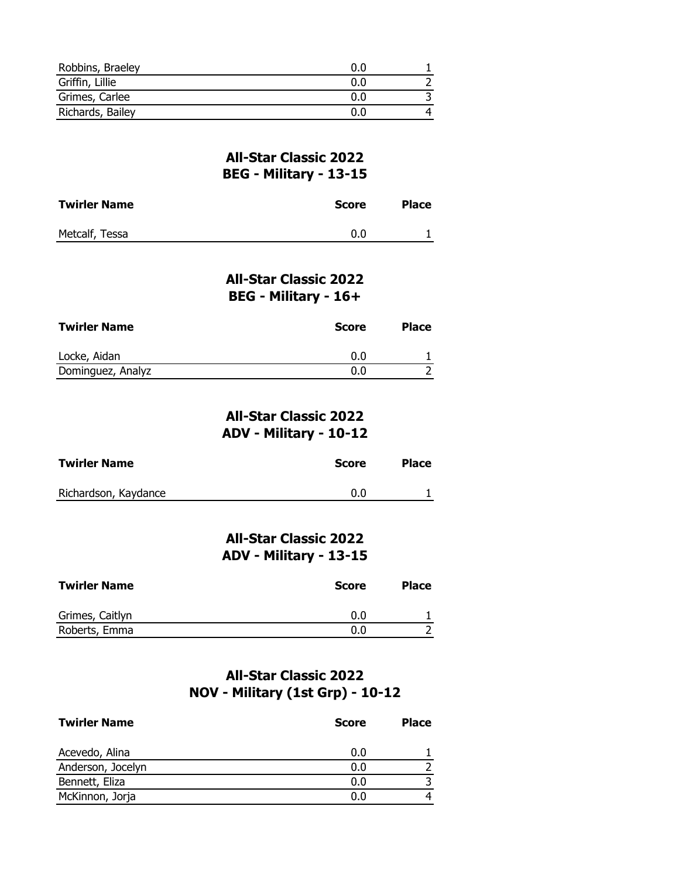| Robbins, Braeley | n n        |  |
|------------------|------------|--|
| Griffin, Lillie  | 0.0        |  |
| Grimes, Carlee   | 0.0        |  |
| Richards, Bailey | <u>በ በ</u> |  |

#### **All-Star Classic 2022 BEG - Military - 13-15**

| <b>Twirler Name</b> | Score | <b>Place</b> |
|---------------------|-------|--------------|
| Metcalf, Tessa      | 0.0   |              |

### **All-Star Classic 2022 BEG - Military - 16+**

| <b>Twirler Name</b> | Score | <b>Place</b> |
|---------------------|-------|--------------|
| Locke, Aidan        | 0.0   |              |
| Dominguez, Analyz   | 0.0   |              |

### **All-Star Classic 2022 ADV - Military - 10-12**

| <b>Twirler Name</b>  | Score | <b>Place</b> |
|----------------------|-------|--------------|
| Richardson, Kaydance | 0.0   |              |

# **All-Star Classic 2022 ADV - Military - 13-15**

| <b>Twirler Name</b> | <b>Score</b> | <b>Place</b> |
|---------------------|--------------|--------------|
| Grimes, Caitlyn     | 0.0          |              |
| Roberts, Emma       | 0.0          |              |

# **All-Star Classic 2022 NOV - Military (1st Grp) - 10-12**

| <b>Twirler Name</b> | <b>Score</b> | <b>Place</b> |
|---------------------|--------------|--------------|
| Acevedo, Alina      | 0.0          |              |
| Anderson, Jocelyn   | 0.0          |              |
| Bennett, Eliza      | 0.0          |              |
| McKinnon, Jorja     | 0.0          |              |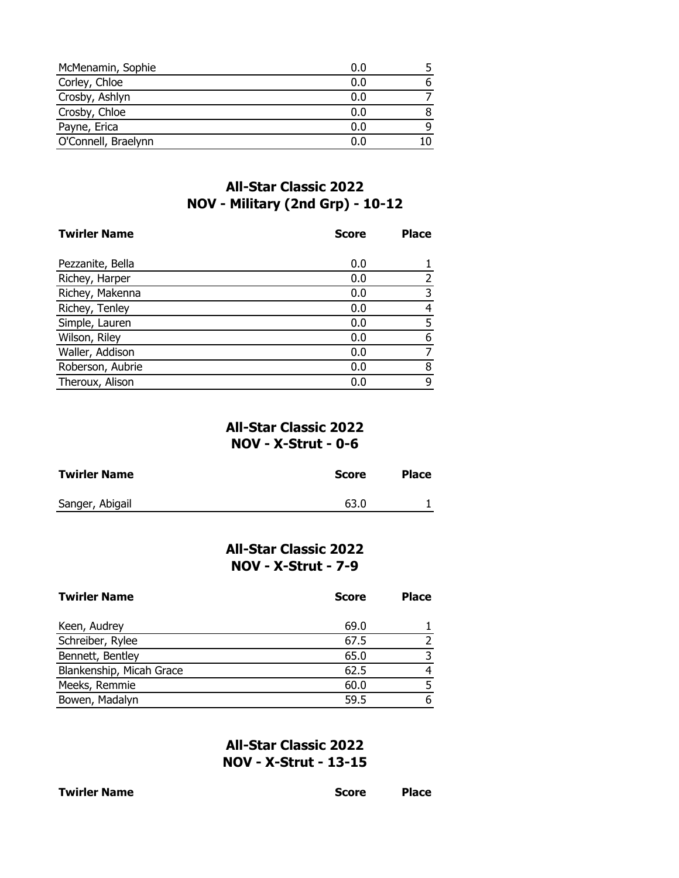| McMenamin, Sophie   | 0.0 |  |
|---------------------|-----|--|
| Corley, Chloe       | 0.0 |  |
| Crosby, Ashlyn      | 0.0 |  |
| Crosby, Chloe       | 0.0 |  |
| Payne, Erica        | 0.0 |  |
| O'Connell, Braelynn | 0 በ |  |

## **All-Star Classic 2022 NOV - Military (2nd Grp) - 10-12**

| <b>Twirler Name</b> | <b>Score</b> | <b>Place</b> |
|---------------------|--------------|--------------|
| Pezzanite, Bella    | 0.0          |              |
| Richey, Harper      | 0.0          |              |
| Richey, Makenna     | 0.0          | 3            |
| Richey, Tenley      | 0.0          | 4            |
| Simple, Lauren      | 0.0          | 5            |
| Wilson, Riley       | 0.0          | 6            |
| Waller, Addison     | 0.0          |              |
| Roberson, Aubrie    | 0.0          | 8            |
| Theroux, Alison     | 0.0          | 9            |

## **All-Star Classic 2022 NOV - X-Strut - 0-6**

| <b>Twirler Name</b> | <b>Score</b> | <b>Place</b> |
|---------------------|--------------|--------------|
| Sanger, Abigail     | 63.0         |              |

## **All-Star Classic 2022 NOV - X-Strut - 7-9**

| <b>Twirler Name</b>      | <b>Score</b> | <b>Place</b> |
|--------------------------|--------------|--------------|
| Keen, Audrey             | 69.0         |              |
| Schreiber, Rylee         | 67.5         |              |
| Bennett, Bentley         | 65.0         |              |
| Blankenship, Micah Grace | 62.5         |              |
| Meeks, Remmie            | 60.0         |              |
| Bowen, Madalyn           | 59.5         |              |

**All-Star Classic 2022 NOV - X-Strut - 13-15**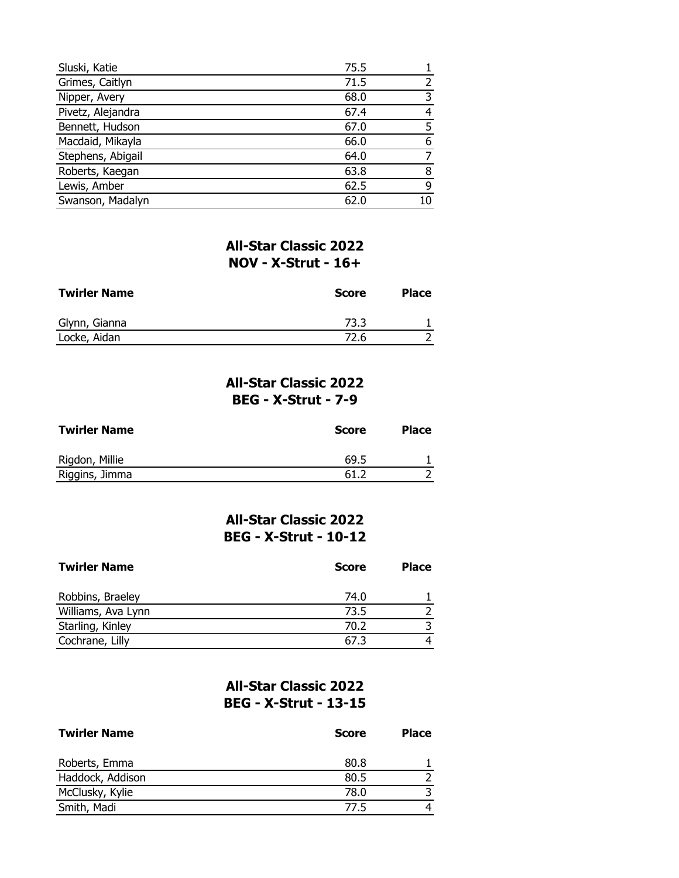| Sluski, Katie     | 75.5 |    |
|-------------------|------|----|
| Grimes, Caitlyn   | 71.5 |    |
| Nipper, Avery     | 68.0 |    |
| Pivetz, Alejandra | 67.4 |    |
| Bennett, Hudson   | 67.0 |    |
| Macdaid, Mikayla  | 66.0 | 6  |
| Stephens, Abigail | 64.0 |    |
| Roberts, Kaegan   | 63.8 | 8  |
| Lewis, Amber      | 62.5 | q  |
| Swanson, Madalyn  | 62.0 | 10 |

# **All-Star Classic 2022 NOV - X-Strut - 16+**

| <b>Twirler Name</b> | <b>Score</b> | <b>Place</b> |
|---------------------|--------------|--------------|
| Glynn, Gianna       | 73.3         |              |
| Locke, Aidan        | 72.6         |              |

# **All-Star Classic 2022 BEG - X-Strut - 7-9**

| <b>Twirler Name</b> | <b>Score</b> | <b>Place</b> |
|---------------------|--------------|--------------|
| Rigdon, Millie      | 69.5         |              |
| Riggins, Jimma      | 61.2         |              |

# **All-Star Classic 2022 BEG - X-Strut - 10-12**

| <b>Twirler Name</b> | <b>Score</b> | <b>Place</b> |
|---------------------|--------------|--------------|
| Robbins, Braeley    | 74.0         |              |
| Williams, Ava Lynn  | 73.5         |              |
| Starling, Kinley    | 70.2         |              |
| Cochrane, Lilly     | 67.3         |              |

# **All-Star Classic 2022 BEG - X-Strut - 13-15**

| <b>Twirler Name</b> | <b>Score</b> | <b>Place</b> |
|---------------------|--------------|--------------|
| Roberts, Emma       | 80.8         |              |
| Haddock, Addison    | 80.5         |              |
| McClusky, Kylie     | 78.0         |              |
| Smith, Madi         | 77.5         |              |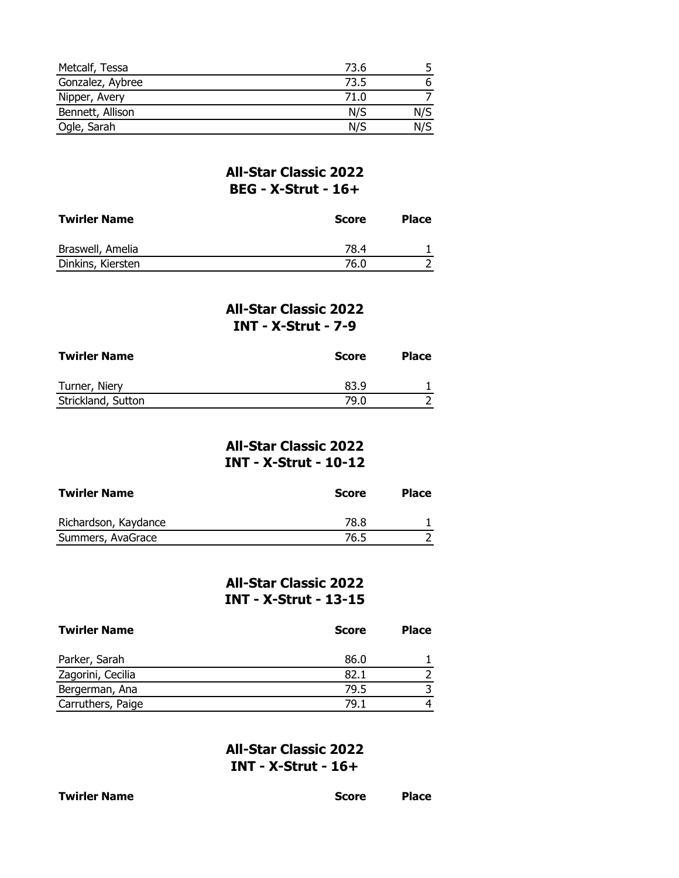| Metcalf, Tessa   | 73.6 |     |
|------------------|------|-----|
| Gonzalez, Aybree | 73.5 |     |
| Nipper, Avery    | 71.0 |     |
| Bennett, Allison | N/S  | N/S |
| Ogle, Sarah      | N/S  | N/S |

### **All-Star Classic 2022 BEG - X-Strut - 16+**

| <b>Twirler Name</b> | <b>Score</b> | <b>Place</b> |
|---------------------|--------------|--------------|
| Braswell, Amelia    | 78.4         |              |
| Dinkins, Kiersten   | 76.0         |              |

### **All-Star Classic 2022 INT - X-Strut - 7-9**

| <b>Twirler Name</b> | Score | <b>Place</b> |
|---------------------|-------|--------------|
| Turner, Niery       | 83.9  |              |
| Strickland, Sutton  | 79.0  |              |

## **All-Star Classic 2022 INT - X-Strut - 10-12**

| <b>Twirler Name</b>  | <b>Score</b> | <b>Place</b> |
|----------------------|--------------|--------------|
| Richardson, Kaydance | 78.8         |              |
| Summers, AvaGrace    | 76.5         |              |

### **All-Star Classic 2022 INT - X-Strut - 13-15**

| <b>Twirler Name</b> | <b>Score</b> | <b>Place</b> |
|---------------------|--------------|--------------|
| Parker, Sarah       | 86.0         |              |
| Zagorini, Cecilia   | 82.1         |              |
| Bergerman, Ana      | 79.5         |              |
| Carruthers, Paige   | 79.1         |              |

### **All-Star Classic 2022 INT - X-Strut - 16+**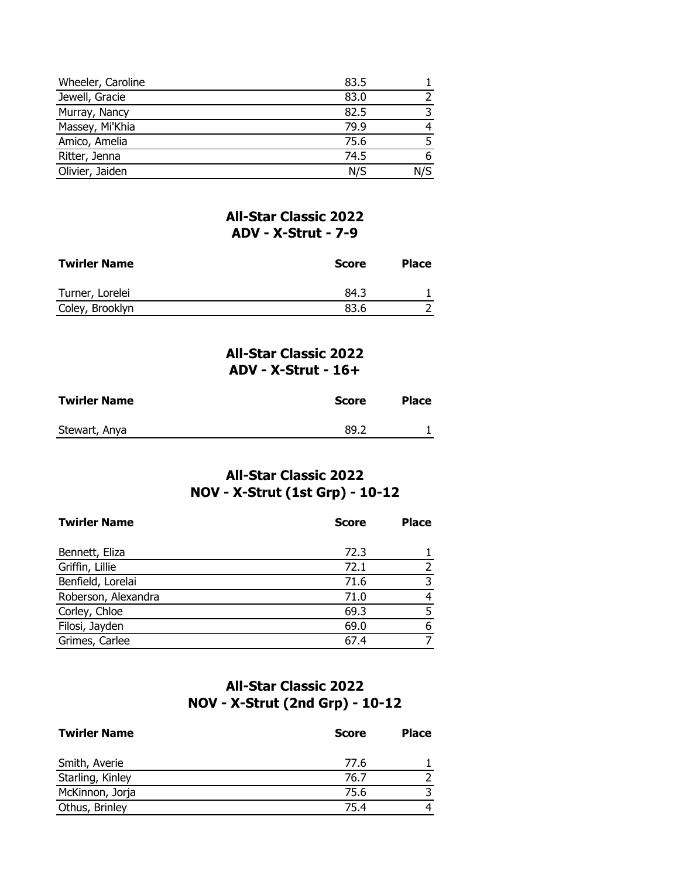| Wheeler, Caroline | 83.5 |  |
|-------------------|------|--|
| Jewell, Gracie    | 83.0 |  |
| Murray, Nancy     | 82.5 |  |
| Massey, Mi'Khia   | 79.9 |  |
| Amico, Amelia     | 75.6 |  |
| Ritter, Jenna     | 74.5 |  |
| Olivier, Jaiden   | N/S  |  |

### **All-Star Classic 2022 ADV - X-Strut - 7-9**

| <b>Twirler Name</b> | Score | <b>Place</b> |
|---------------------|-------|--------------|
| Turner, Lorelei     | 84.3  |              |
| Coley, Brooklyn     | 83.6  |              |

#### **All-Star Classic 2022 ADV - X-Strut - 16+**

| <b>Twirler Name</b> | Score | <b>Place</b> |
|---------------------|-------|--------------|
| Stewart, Anya       | 89.2  |              |

# **All-Star Classic 2022 NOV - X-Strut (1st Grp) - 10-12**

| <b>Twirler Name</b> | <b>Score</b> | <b>Place</b> |
|---------------------|--------------|--------------|
| Bennett, Eliza      | 72.3         |              |
| Griffin, Lillie     | 72.1         | 2            |
| Benfield, Lorelai   | 71.6         | 3            |
| Roberson, Alexandra | 71.0         | 4            |
| Corley, Chloe       | 69.3         | 5            |
| Filosi, Jayden      | 69.0         | 6            |
| Grimes, Carlee      | 67.4         | ⇁            |

# **All-Star Classic 2022 NOV - X-Strut (2nd Grp) - 10-12**

| <b>Twirler Name</b> | <b>Score</b> | <b>Place</b> |
|---------------------|--------------|--------------|
| Smith, Averie       | 77.6         |              |
| Starling, Kinley    | 76.7         |              |
| McKinnon, Jorja     | 75.6         |              |
| Othus, Brinley      | 75.4         |              |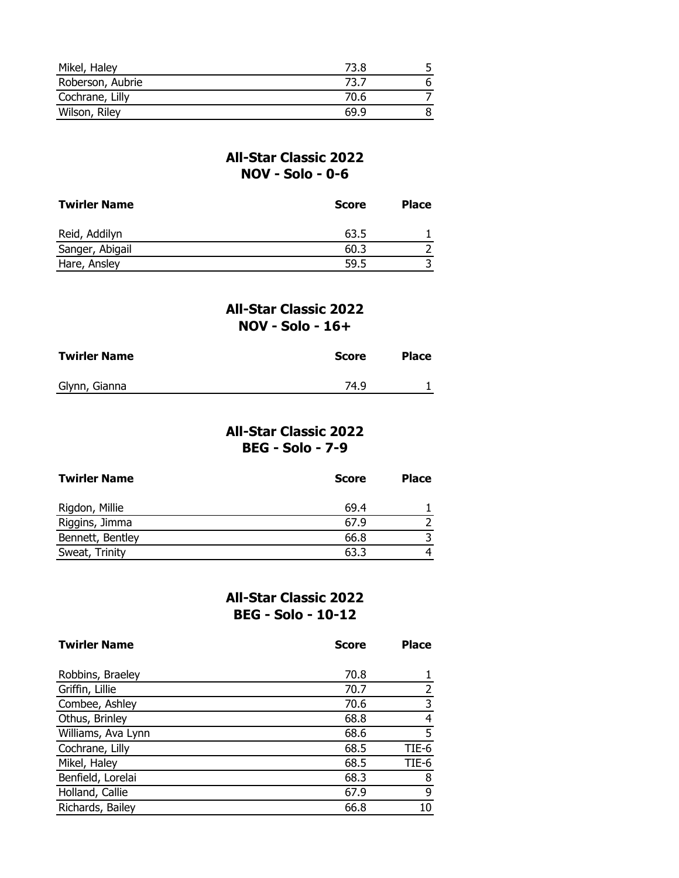| Mikel, Haley     | 73.8 |  |
|------------------|------|--|
| Roberson, Aubrie | 73.7 |  |
| Cochrane, Lilly  | 70.6 |  |
| Wilson, Riley    | 69.9 |  |

## **All-Star Classic 2022 NOV - Solo - 0-6**

| <b>Twirler Name</b> | <b>Score</b> | <b>Place</b> |
|---------------------|--------------|--------------|
| Reid, Addilyn       | 63.5         |              |
| Sanger, Abigail     | 60.3         |              |
| Hare, Ansley        | 59.5         |              |

### **All-Star Classic 2022 NOV - Solo - 16+**

| <b>Twirler Name</b> | Score | <b>Place</b> |
|---------------------|-------|--------------|
| Glynn, Gianna       | 74.9  |              |

## **All-Star Classic 2022 BEG - Solo - 7-9**

| <b>Twirler Name</b> | <b>Score</b> | <b>Place</b> |
|---------------------|--------------|--------------|
| Rigdon, Millie      | 69.4         |              |
| Riggins, Jimma      | 67.9         |              |
| Bennett, Bentley    | 66.8         |              |
| Sweat, Trinity      | 63.3         |              |

## **All-Star Classic 2022 BEG - Solo - 10-12**

| <b>Twirler Name</b> | <b>Score</b> | <b>Place</b> |
|---------------------|--------------|--------------|
|                     |              |              |
| Robbins, Braeley    | 70.8         |              |
| Griffin, Lillie     | 70.7         |              |
| Combee, Ashley      | 70.6         | 3            |
| Othus, Brinley      | 68.8         | 4            |
| Williams, Ava Lynn  | 68.6         | 5            |
| Cochrane, Lilly     | 68.5         | TIE-6        |
| Mikel, Haley        | 68.5         | TIE-6        |
| Benfield, Lorelai   | 68.3         | 8            |
| Holland, Callie     | 67.9         | 9            |
| Richards, Bailey    | 66.8         | 10           |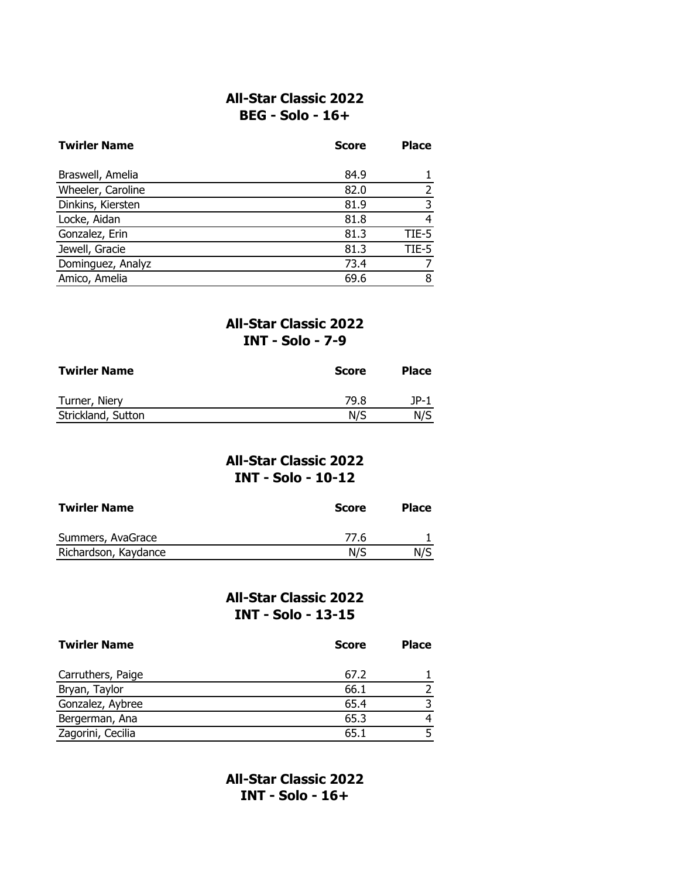#### **All-Star Classic 2022 BEG - Solo - 16+**

| <b>Twirler Name</b> | <b>Score</b> | <b>Place</b> |
|---------------------|--------------|--------------|
| Braswell, Amelia    | 84.9         |              |
| Wheeler, Caroline   | 82.0         |              |
| Dinkins, Kiersten   | 81.9         | 3            |
| Locke, Aidan        | 81.8         | 4            |
| Gonzalez, Erin      | 81.3         | TIE-5        |
| Jewell, Gracie      | 81.3         | TIE-5        |
| Dominguez, Analyz   | 73.4         |              |
| Amico, Amelia       | 69.6         | 8            |

## **All-Star Classic 2022 INT - Solo - 7-9**

| <b>Twirler Name</b> | <b>Score</b> | <b>Place</b> |
|---------------------|--------------|--------------|
| Turner, Niery       | 79.8         | 1P-1         |
| Strickland, Sutton  | N/S          | N/S          |

### **All-Star Classic 2022 INT - Solo - 10-12**

| <b>Twirler Name</b>  | <b>Score</b> | <b>Place</b> |
|----------------------|--------------|--------------|
| Summers, AvaGrace    | 77.6         |              |
| Richardson, Kaydance | N/S          | N/S          |

### **All-Star Classic 2022 INT - Solo - 13-15**

| <b>Twirler Name</b> | <b>Score</b> | <b>Place</b> |
|---------------------|--------------|--------------|
| Carruthers, Paige   | 67.2         |              |
| Bryan, Taylor       | 66.1         |              |
| Gonzalez, Aybree    | 65.4         |              |
| Bergerman, Ana      | 65.3         |              |
| Zagorini, Cecilia   | 65.1         |              |

**All-Star Classic 2022 INT - Solo - 16+**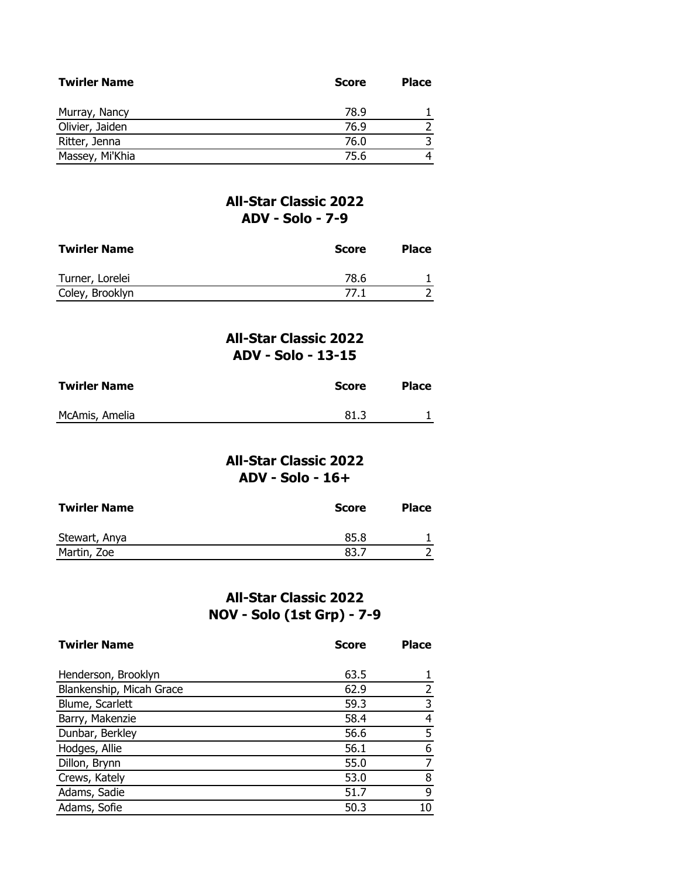| <b>Twirler Name</b> | <b>Score</b> | <b>Place</b> |
|---------------------|--------------|--------------|
| Murray, Nancy       | 78.9         |              |
| Olivier, Jaiden     | 76.9         |              |
| Ritter, Jenna       | 76.0         | 3            |
| Massey, Mi'Khia     | 75.6         |              |

## **All-Star Classic 2022 ADV - Solo - 7-9**

| <b>Twirler Name</b> | <b>Score</b> | <b>Place</b> |
|---------------------|--------------|--------------|
| Turner, Lorelei     | 78.6         |              |
| Coley, Brooklyn     | 77.1         |              |

## **All-Star Classic 2022 ADV - Solo - 13-15**

| <b>Twirler Name</b> | <b>Score</b> | <b>Place</b> |
|---------------------|--------------|--------------|
| McAmis, Amelia      | 81.3         |              |

## **All-Star Classic 2022 ADV - Solo - 16+**

| <b>Twirler Name</b> | <b>Score</b> | <b>Place</b> |
|---------------------|--------------|--------------|
| Stewart, Anya       | 85.8         |              |
| Martin, Zoe         | 83.7         |              |

# **All-Star Classic 2022 NOV - Solo (1st Grp) - 7-9**

| <b>Twirler Name</b>      | <b>Score</b> | <b>Place</b> |
|--------------------------|--------------|--------------|
|                          |              |              |
| Henderson, Brooklyn      | 63.5         |              |
| Blankenship, Micah Grace | 62.9         |              |
| Blume, Scarlett          | 59.3         | 3            |
| Barry, Makenzie          | 58.4         | 4            |
| Dunbar, Berkley          | 56.6         | 5            |
| Hodges, Allie            | 56.1         | 6            |
| Dillon, Brynn            | 55.0         |              |
| Crews, Kately            | 53.0         | 8            |
| Adams, Sadie             | 51.7         | 9            |
| Adams, Sofie             | 50.3         |              |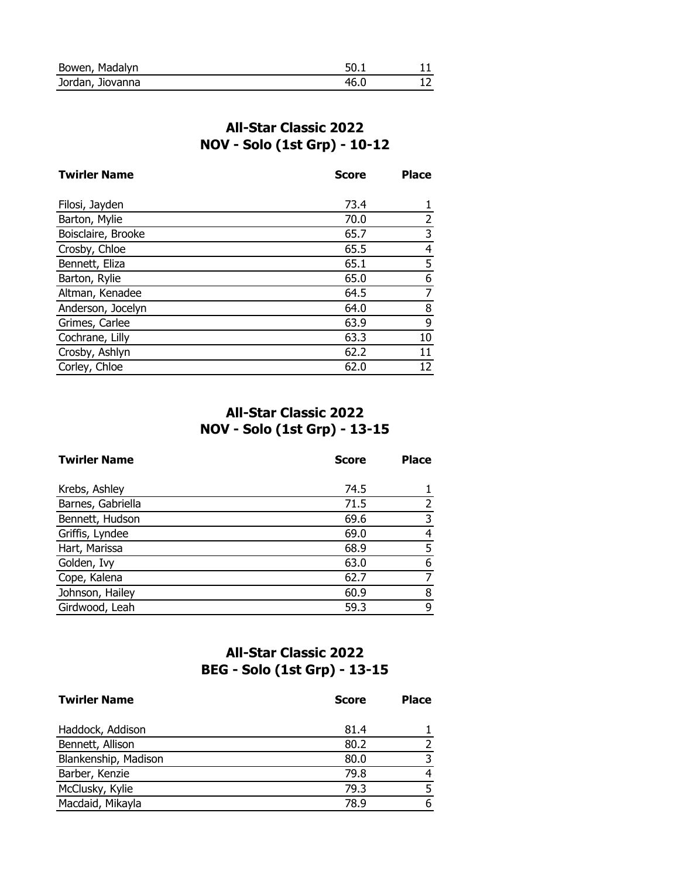| Bowen, Madalyn   | 50 |  |
|------------------|----|--|
| Jordan, Jiovanna |    |  |

# **All-Star Classic 2022 NOV - Solo (1st Grp) - 10-12**

| <b>Twirler Name</b> | <b>Score</b> | <b>Place</b> |
|---------------------|--------------|--------------|
|                     |              |              |
| Filosi, Jayden      | 73.4         |              |
| Barton, Mylie       | 70.0         | 2            |
| Boisclaire, Brooke  | 65.7         | 3            |
| Crosby, Chloe       | 65.5         | 4            |
| Bennett, Eliza      | 65.1         | 5            |
| Barton, Rylie       | 65.0         | 6            |
| Altman, Kenadee     | 64.5         | 7            |
| Anderson, Jocelyn   | 64.0         | 8            |
| Grimes, Carlee      | 63.9         | 9            |
| Cochrane, Lilly     | 63.3         | 10           |
| Crosby, Ashlyn      | 62.2         | 11           |
| Corley, Chloe       | 62.0         | 12           |

# **All-Star Classic 2022 NOV - Solo (1st Grp) - 13-15**

| <b>Twirler Name</b> | <b>Score</b> | <b>Place</b> |
|---------------------|--------------|--------------|
| Krebs, Ashley       | 74.5         |              |
| Barnes, Gabriella   | 71.5         |              |
| Bennett, Hudson     | 69.6         |              |
| Griffis, Lyndee     | 69.0         | 4            |
| Hart, Marissa       | 68.9         | 5            |
| Golden, Ivy         | 63.0         | 6            |
| Cope, Kalena        | 62.7         |              |
| Johnson, Hailey     | 60.9         | 8            |
| Girdwood, Leah      | 59.3         | 9            |

# **All-Star Classic 2022 BEG - Solo (1st Grp) - 13-15**

| <b>Twirler Name</b>  | <b>Score</b> | <b>Place</b> |
|----------------------|--------------|--------------|
| Haddock, Addison     | 81.4         |              |
| Bennett, Allison     | 80.2         |              |
| Blankenship, Madison | 80.0         |              |
| Barber, Kenzie       | 79.8         |              |
| McClusky, Kylie      | 79.3         |              |
| Macdaid, Mikayla     | 78.9         | 6            |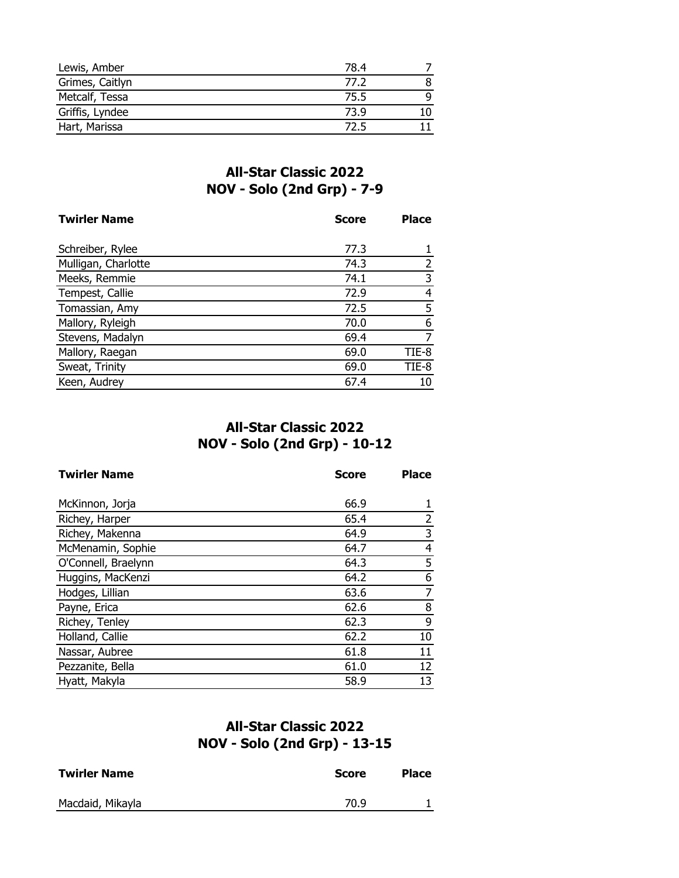| Lewis, Amber    | 78.4 |  |
|-----------------|------|--|
| Grimes, Caitlyn | 77.2 |  |
| Metcalf, Tessa  | 75.5 |  |
| Griffis, Lyndee | 73.9 |  |
| Hart, Marissa   | 72.5 |  |

# **All-Star Classic 2022 NOV - Solo (2nd Grp) - 7-9**

| <b>Twirler Name</b> | <b>Score</b> | <b>Place</b> |
|---------------------|--------------|--------------|
|                     | 77.3         |              |
| Schreiber, Rylee    |              |              |
| Mulligan, Charlotte | 74.3         |              |
| Meeks, Remmie       | 74.1         | 3            |
| Tempest, Callie     | 72.9         | 4            |
| Tomassian, Amy      | 72.5         | 5            |
| Mallory, Ryleigh    | 70.0         | 6            |
| Stevens, Madalyn    | 69.4         | 7            |
| Mallory, Raegan     | 69.0         | TIE-8        |
| Sweat, Trinity      | 69.0         | TIE-8        |
| Keen, Audrey        | 67.4         | 10           |

# **All-Star Classic 2022 NOV - Solo (2nd Grp) - 10-12**

| <b>Twirler Name</b> | <b>Score</b> | <b>Place</b> |
|---------------------|--------------|--------------|
|                     |              |              |
| McKinnon, Jorja     | 66.9         |              |
| Richey, Harper      | 65.4         | 2            |
| Richey, Makenna     | 64.9         | 3            |
| McMenamin, Sophie   | 64.7         | 4            |
| O'Connell, Braelynn | 64.3         | 5            |
| Huggins, MacKenzi   | 64.2         | 6            |
| Hodges, Lillian     | 63.6         | 7            |
| Payne, Erica        | 62.6         | 8            |
| Richey, Tenley      | 62.3         | 9            |
| Holland, Callie     | 62.2         | 10           |
| Nassar, Aubree      | 61.8         | 11           |
| Pezzanite, Bella    | 61.0         | 12           |
| Hyatt, Makyla       | 58.9         | 13           |

# **All-Star Classic 2022 NOV - Solo (2nd Grp) - 13-15**

| <b>Twirler Name</b> | <b>Score</b> | <b>Place</b> |
|---------------------|--------------|--------------|
| Macdaid, Mikayla    | 70.9         |              |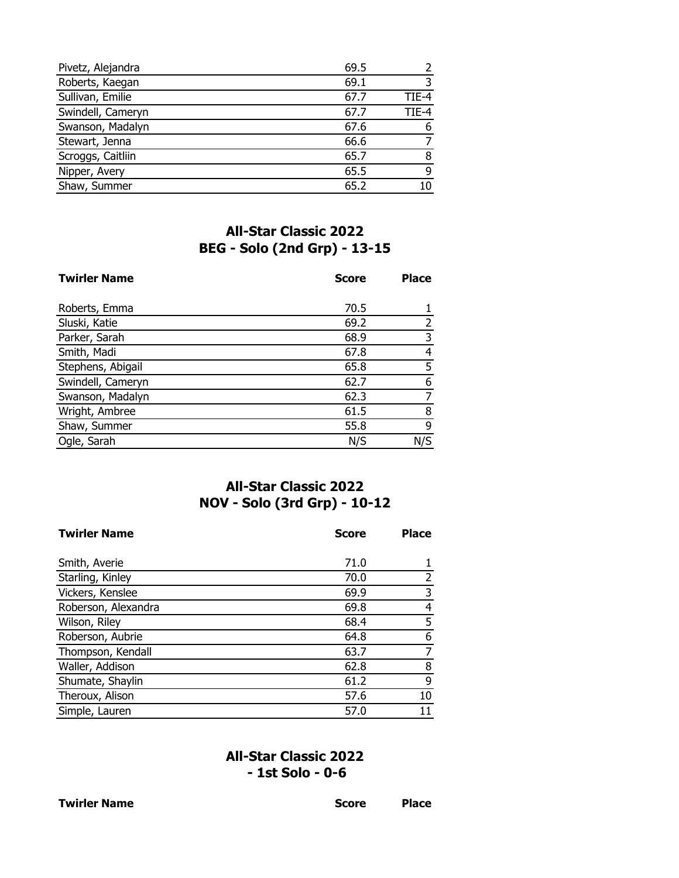| Pivetz, Alejandra | 69.5 |       |
|-------------------|------|-------|
| Roberts, Kaegan   | 69.1 |       |
| Sullivan, Emilie  | 67.7 | TIE-4 |
| Swindell, Cameryn | 67.7 | TIF-4 |
| Swanson, Madalyn  | 67.6 |       |
| Stewart, Jenna    | 66.6 |       |
| Scroggs, Caitliin | 65.7 | 8     |
| Nipper, Avery     | 65.5 | q     |
| Shaw, Summer      | 65.2 |       |

# **All-Star Classic 2022 BEG - Solo (2nd Grp) - 13-15**

| <b>Twirler Name</b> | <b>Score</b> | <b>Place</b> |
|---------------------|--------------|--------------|
| Roberts, Emma       | 70.5         |              |
| Sluski, Katie       | 69.2         | 2            |
| Parker, Sarah       | 68.9         | 3            |
| Smith, Madi         | 67.8         | 4            |
| Stephens, Abigail   | 65.8         | 5            |
| Swindell, Cameryn   | 62.7         | 6            |
| Swanson, Madalyn    | 62.3         | 7            |
| Wright, Ambree      | 61.5         | 8            |
| Shaw, Summer        | 55.8         | 9            |
| Ogle, Sarah         | N/S          | N/S          |

# **All-Star Classic 2022 NOV - Solo (3rd Grp) - 10-12**

| <b>Twirler Name</b> | <b>Score</b> | <b>Place</b> |
|---------------------|--------------|--------------|
|                     |              |              |
| Smith, Averie       | 71.0         |              |
| Starling, Kinley    | 70.0         | 2            |
| Vickers, Kenslee    | 69.9         | 3            |
| Roberson, Alexandra | 69.8         | 4            |
| Wilson, Riley       | 68.4         | 5            |
| Roberson, Aubrie    | 64.8         | 6            |
| Thompson, Kendall   | 63.7         | 7            |
| Waller, Addison     | 62.8         | 8            |
| Shumate, Shaylin    | 61.2         | 9            |
| Theroux, Alison     | 57.6         | 10           |
| Simple, Lauren      | 57.0         |              |

# **All-Star Classic 2022 - 1st Solo - 0-6**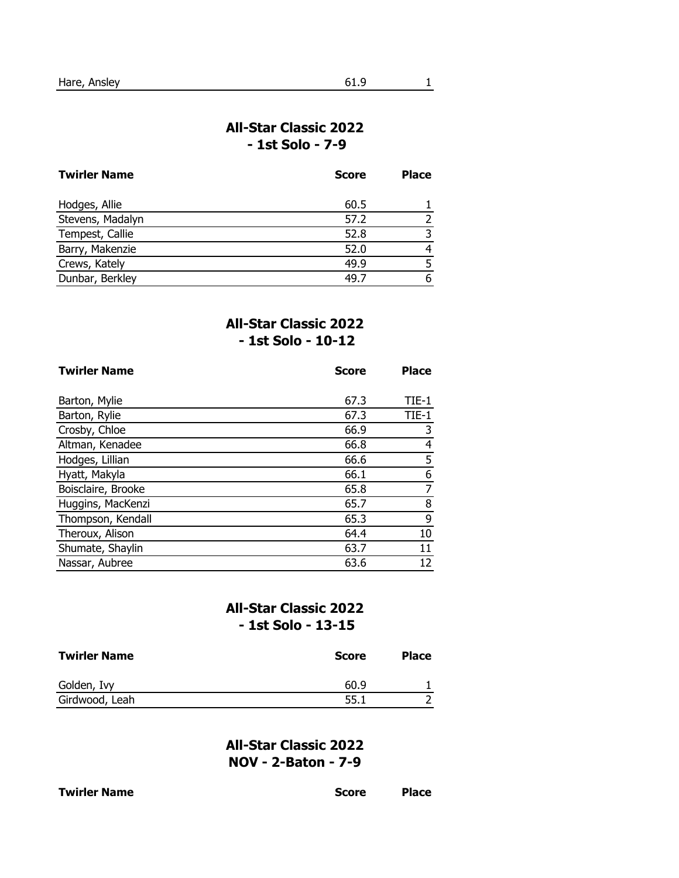### **All-Star Classic 2022 - 1st Solo - 7-9**

| <b>Twirler Name</b> | <b>Score</b> | <b>Place</b> |
|---------------------|--------------|--------------|
| Hodges, Allie       | 60.5         |              |
| Stevens, Madalyn    | 57.2         |              |
| Tempest, Callie     | 52.8         |              |
| Barry, Makenzie     | 52.0         |              |
| Crews, Kately       | 49.9         |              |
| Dunbar, Berkley     | 49.7         |              |

### **All-Star Classic 2022 - 1st Solo - 10-12**

| <b>Twirler Name</b> | <b>Score</b> | <b>Place</b> |
|---------------------|--------------|--------------|
|                     |              |              |
| Barton, Mylie       | 67.3         | $TIE-1$      |
| Barton, Rylie       | 67.3         | $TIE-1$      |
| Crosby, Chloe       | 66.9         | 3            |
| Altman, Kenadee     | 66.8         | 4            |
| Hodges, Lillian     | 66.6         | 5            |
| Hyatt, Makyla       | 66.1         | 6            |
| Boisclaire, Brooke  | 65.8         | 7            |
| Huggins, MacKenzi   | 65.7         | 8            |
| Thompson, Kendall   | 65.3         | 9            |
| Theroux, Alison     | 64.4         | 10           |
| Shumate, Shaylin    | 63.7         | 11           |
| Nassar, Aubree      | 63.6         | 12           |

# **All-Star Classic 2022 - 1st Solo - 13-15**

| <b>Twirler Name</b> | <b>Score</b> | <b>Place</b> |
|---------------------|--------------|--------------|
| Golden, Ivy         | 60.9         |              |
| Girdwood, Leah      | 55.1         |              |

**All-Star Classic 2022 NOV - 2-Baton - 7-9**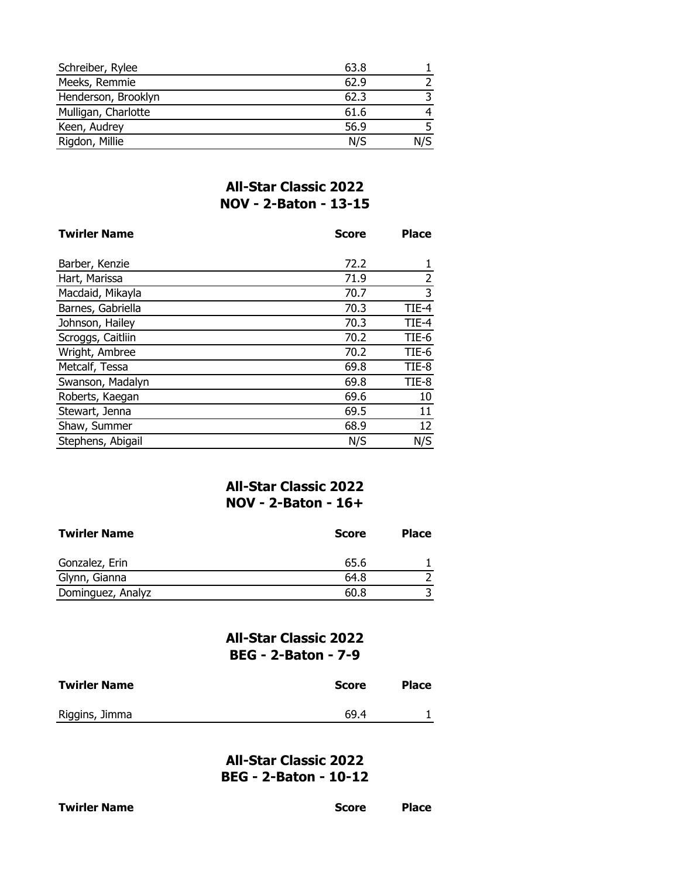| Schreiber, Rylee    | 63.8 |     |
|---------------------|------|-----|
| Meeks, Remmie       | 62.9 |     |
| Henderson, Brooklyn | 62.3 |     |
| Mulligan, Charlotte | 61.6 |     |
| Keen, Audrey        | 56.9 |     |
| Rigdon, Millie      | N/S  | N/S |

# **All-Star Classic 2022 NOV - 2-Baton - 13-15**

| <b>Twirler Name</b> | <b>Score</b> | <b>Place</b>   |
|---------------------|--------------|----------------|
|                     |              |                |
| Barber, Kenzie      | 72.2         |                |
| Hart, Marissa       | 71.9         | $\overline{2}$ |
| Macdaid, Mikayla    | 70.7         | 3              |
| Barnes, Gabriella   | 70.3         | TIE-4          |
| Johnson, Hailey     | 70.3         | TIE-4          |
| Scroggs, Caitliin   | 70.2         | TIE-6          |
| Wright, Ambree      | 70.2         | TIE-6          |
| Metcalf, Tessa      | 69.8         | TIE-8          |
| Swanson, Madalyn    | 69.8         | TIE-8          |
| Roberts, Kaegan     | 69.6         | 10             |
| Stewart, Jenna      | 69.5         | 11             |
| Shaw, Summer        | 68.9         | 12             |
| Stephens, Abigail   | N/S          | N/S            |

# **All-Star Classic 2022 NOV - 2-Baton - 16+**

| <b>Twirler Name</b> | <b>Score</b> | <b>Place</b> |
|---------------------|--------------|--------------|
| Gonzalez, Erin      | 65.6         |              |
| Glynn, Gianna       | 64.8         |              |
| Dominguez, Analyz   | 60.8         |              |

### **All-Star Classic 2022 BEG - 2-Baton - 7-9**

| <b>Twirler Name</b> | <b>Score</b> | <b>Place</b> |
|---------------------|--------------|--------------|
| Riggins, Jimma      | 69.4         |              |

**All-Star Classic 2022 BEG - 2-Baton - 10-12**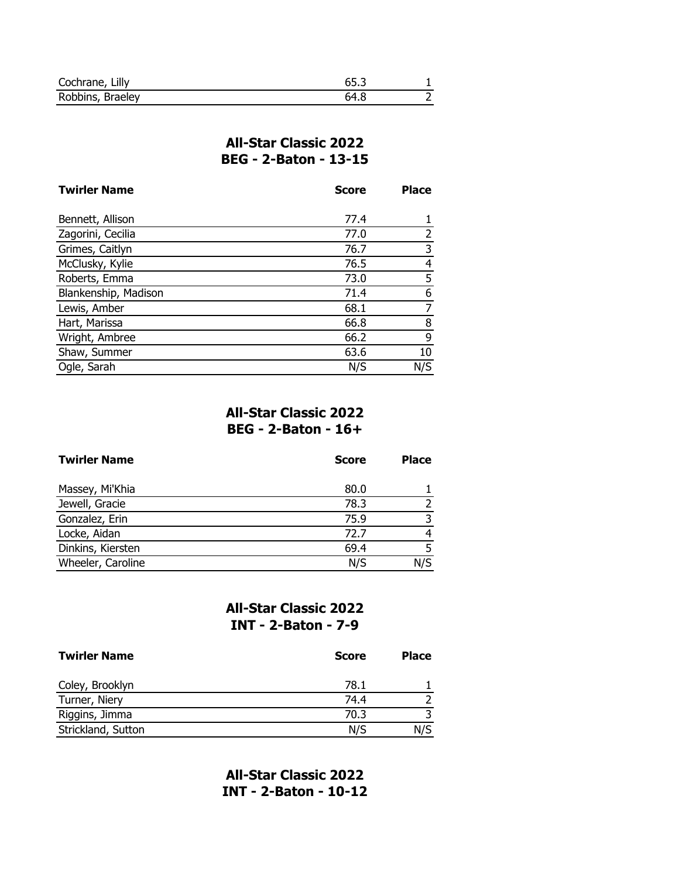| Cochrane, Lilly  |    |  |
|------------------|----|--|
| Robbins, Braeley | 64 |  |

## **All-Star Classic 2022 BEG - 2-Baton - 13-15**

| <b>Twirler Name</b>  | <b>Score</b> | <b>Place</b> |
|----------------------|--------------|--------------|
|                      |              |              |
| Bennett, Allison     | 77.4         |              |
| Zagorini, Cecilia    | 77.0         |              |
| Grimes, Caitlyn      | 76.7         | 3            |
| McClusky, Kylie      | 76.5         | 4            |
| Roberts, Emma        | 73.0         | 5            |
| Blankenship, Madison | 71.4         | 6            |
| Lewis, Amber         | 68.1         | 7            |
| Hart, Marissa        | 66.8         | 8            |
| Wright, Ambree       | 66.2         | 9            |
| Shaw, Summer         | 63.6         | 10           |
| Ogle, Sarah          | N/S          | N/S          |

### **All-Star Classic 2022 BEG - 2-Baton - 16+**

| <b>Twirler Name</b> | <b>Score</b> | <b>Place</b> |
|---------------------|--------------|--------------|
| Massey, Mi'Khia     | 80.0         |              |
| Jewell, Gracie      | 78.3         |              |
| Gonzalez, Erin      | 75.9         | ີ            |
| Locke, Aidan        | 72.7         |              |
| Dinkins, Kiersten   | 69.4         |              |
| Wheeler, Caroline   | N/S          | N/S          |

## **All-Star Classic 2022 INT - 2-Baton - 7-9**

| <b>Twirler Name</b> | <b>Score</b> | <b>Place</b> |
|---------------------|--------------|--------------|
| Coley, Brooklyn     | 78.1         |              |
| Turner, Niery       | 74.4         |              |
| Riggins, Jimma      | 70.3         |              |
| Strickland, Sutton  | N/S          | N/S          |

**All-Star Classic 2022 INT - 2-Baton - 10-12**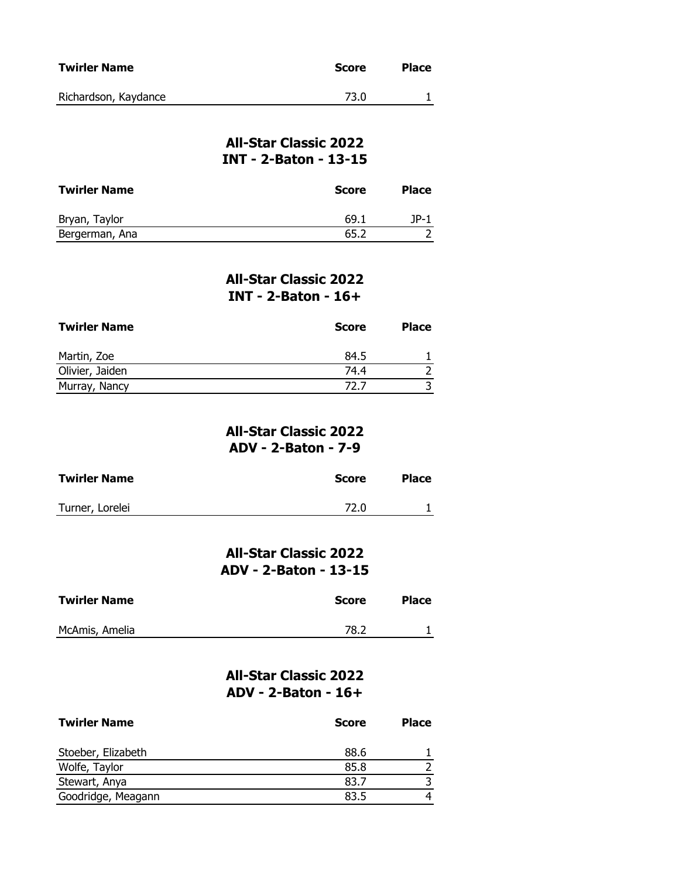| <b>Twirler Name</b>  | Score | <b>Place</b> |
|----------------------|-------|--------------|
| Richardson, Kaydance | 73.0  |              |

### **All-Star Classic 2022 INT - 2-Baton - 13-15**

| <b>Twirler Name</b> | <b>Score</b> | <b>Place</b> |
|---------------------|--------------|--------------|
| Bryan, Taylor       | 69.1         | <b>JP-1</b>  |
| Bergerman, Ana      | 65.2         |              |

#### **All-Star Classic 2022 INT - 2-Baton - 16+**

| <b>Twirler Name</b> | <b>Score</b> | <b>Place</b> |
|---------------------|--------------|--------------|
| Martin, Zoe         | 84.5         |              |
| Olivier, Jaiden     | 74.4         |              |
| Murray, Nancy       | 72.7         |              |

#### **All-Star Classic 2022 ADV - 2-Baton - 7-9**

| <b>Twirler Name</b> | Score | <b>Place</b> |
|---------------------|-------|--------------|
| Turner, Lorelei     | 72.0  |              |

**All-Star Classic 2022 ADV - 2-Baton - 13-15**

| <b>Twirler Name</b> | <b>Score</b> | <b>Place</b> |
|---------------------|--------------|--------------|
| McAmis, Amelia      | 78.2         |              |

## **All-Star Classic 2022 ADV - 2-Baton - 16+**

| <b>Twirler Name</b> | <b>Score</b> | <b>Place</b> |
|---------------------|--------------|--------------|
| Stoeber, Elizabeth  | 88.6         |              |
| Wolfe, Taylor       | 85.8         |              |
| Stewart, Anya       | 83.7         |              |
| Goodridge, Meagann  | 83.5         |              |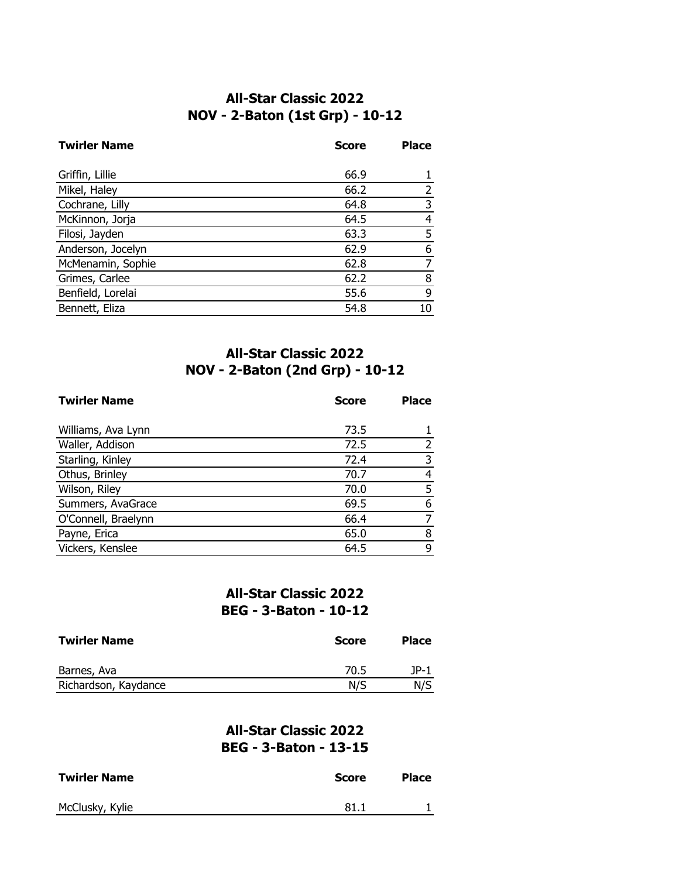### **All-Star Classic 2022 NOV - 2-Baton (1st Grp) - 10-12**

| <b>Twirler Name</b> | <b>Score</b> | <b>Place</b> |
|---------------------|--------------|--------------|
|                     |              |              |
| Griffin, Lillie     | 66.9         |              |
| Mikel, Haley        | 66.2         |              |
| Cochrane, Lilly     | 64.8         |              |
| McKinnon, Jorja     | 64.5         | 4            |
| Filosi, Jayden      | 63.3         | 5            |
| Anderson, Jocelyn   | 62.9         | 6            |
| McMenamin, Sophie   | 62.8         |              |
| Grimes, Carlee      | 62.2         | 8            |
| Benfield, Lorelai   | 55.6         | 9            |
| Bennett, Eliza      | 54.8         |              |

# **All-Star Classic 2022 NOV - 2-Baton (2nd Grp) - 10-12**

| <b>Twirler Name</b> | <b>Score</b> | <b>Place</b> |
|---------------------|--------------|--------------|
| Williams, Ava Lynn  | 73.5         |              |
| Waller, Addison     | 72.5         |              |
| Starling, Kinley    | 72.4         | 3            |
| Othus, Brinley      | 70.7         | 4            |
| Wilson, Riley       | 70.0         | 5            |
| Summers, AvaGrace   | 69.5         | 6            |
| O'Connell, Braelynn | 66.4         |              |
| Payne, Erica        | 65.0         | 8            |
| Vickers, Kenslee    | 64.5         | 9            |

## **All-Star Classic 2022 BEG - 3-Baton - 10-12**

| <b>Twirler Name</b>  | <b>Score</b> | <b>Place</b> |
|----------------------|--------------|--------------|
| Barnes, Ava          | 70.5         | 1P-1         |
| Richardson, Kaydance | N/S          | N/S          |

### **All-Star Classic 2022 BEG - 3-Baton - 13-15**

| <b>Twirler Name</b> | Score | <b>Place</b> |
|---------------------|-------|--------------|
| McClusky, Kylie     | 81.1  |              |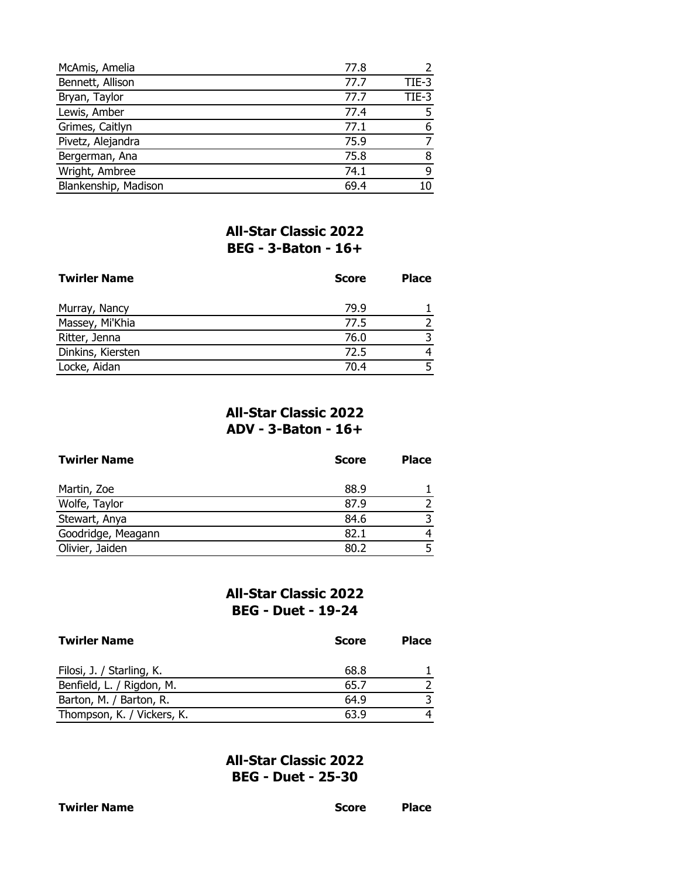| McAmis, Amelia       | 77.8 |       |
|----------------------|------|-------|
| Bennett, Allison     | 77.7 | TIE-3 |
| Bryan, Taylor        | 77.7 | TIE-3 |
| Lewis, Amber         | 77.4 |       |
| Grimes, Caitlyn      | 77.1 | 6     |
| Pivetz, Alejandra    | 75.9 |       |
| Bergerman, Ana       | 75.8 |       |
| Wright, Ambree       | 74.1 | q     |
| Blankenship, Madison | 69.4 |       |

## **All-Star Classic 2022 BEG - 3-Baton - 16+**

| <b>Twirler Name</b> | <b>Score</b> | <b>Place</b> |
|---------------------|--------------|--------------|
| Murray, Nancy       | 79.9         |              |
| Massey, Mi'Khia     | 77.5         |              |
| Ritter, Jenna       | 76.0         |              |
| Dinkins, Kiersten   | 72.5         |              |
| Locke, Aidan        | 70.4         |              |

## **All-Star Classic 2022 ADV - 3-Baton - 16+**

| <b>Twirler Name</b> | <b>Score</b> | <b>Place</b> |
|---------------------|--------------|--------------|
| Martin, Zoe         | 88.9         |              |
| Wolfe, Taylor       | 87.9         |              |
| Stewart, Anya       | 84.6         | ว            |
| Goodridge, Meagann  | 82.1         | 4            |
| Olivier, Jaiden     | 80.2         |              |

#### **All-Star Classic 2022 BEG - Duet - 19-24**

| <b>Twirler Name</b>        | <b>Score</b> | <b>Place</b> |
|----------------------------|--------------|--------------|
| Filosi, J. / Starling, K.  | 68.8         |              |
| Benfield, L. / Rigdon, M.  | 65.7         |              |
| Barton, M. / Barton, R.    | 64.9         |              |
| Thompson, K. / Vickers, K. | 63.9         |              |

**All-Star Classic 2022 BEG - Duet - 25-30**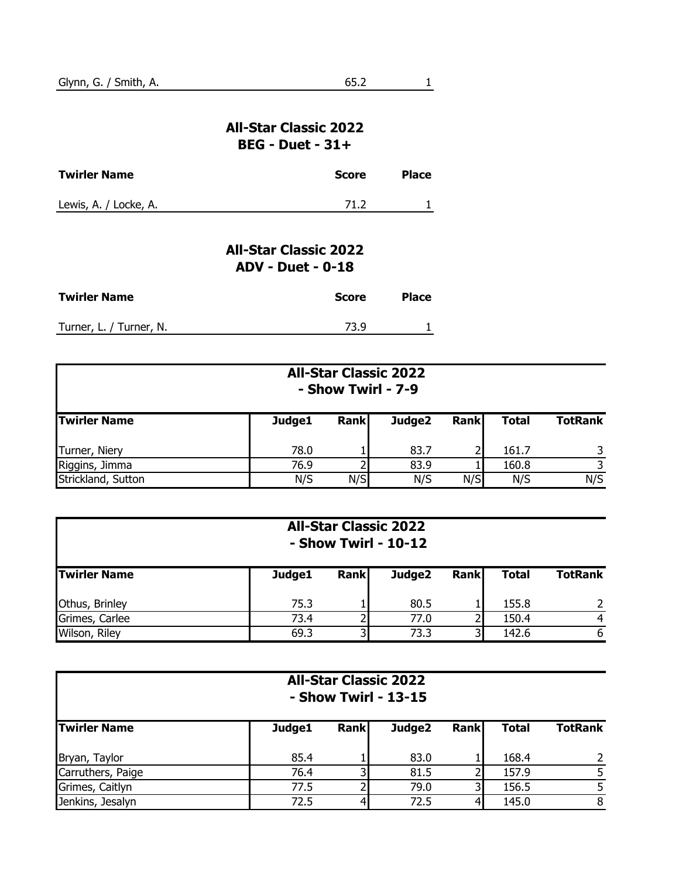### **All-Star Classic 2022 BEG - Duet - 31+**

| <b>Twirler Name</b>   | <b>Score</b> | <b>Place</b> |
|-----------------------|--------------|--------------|
| Lewis, A. / Locke, A. | 71.2         |              |

# **All-Star Classic 2022 ADV - Duet - 0-18**

| <b>Twirler Name</b>     | Score | <b>Place</b> |
|-------------------------|-------|--------------|
| Turner, L. / Turner, N. | 73.9  |              |

|                     |        | <b>All-Star Classic 2022</b><br>- Show Twirl - 7-9 |        |             |              |                |  |  |
|---------------------|--------|----------------------------------------------------|--------|-------------|--------------|----------------|--|--|
| <b>Twirler Name</b> | Judge1 | <b>Rank</b>                                        | Judge2 | <b>Rank</b> | <b>Total</b> | <b>TotRank</b> |  |  |
| Turner, Niery       | 78.0   |                                                    | 83.7   |             | 161.7        |                |  |  |
| Riggins, Jimma      | 76.9   |                                                    | 83.9   |             | 160.8        |                |  |  |
| Strickland, Sutton  | N/S    | N/S                                                | N/S    | N/S         | N/S          | N/S            |  |  |

|                     | <b>All-Star Classic 2022</b><br>- Show Twirl - 10-12 |             |        |             |              |                |
|---------------------|------------------------------------------------------|-------------|--------|-------------|--------------|----------------|
| <b>Twirler Name</b> | Judge1                                               | <b>Rank</b> | Judge2 | <b>Rank</b> | <b>Total</b> | <b>TotRank</b> |
| Othus, Brinley      | 75.3                                                 |             | 80.5   |             | 155.8        |                |
| Grimes, Carlee      | 73.4                                                 |             | 77.0   |             | 150.4        |                |
| Wilson, Riley       | 69.3                                                 |             | 73.3   |             | 142.6        | 6              |

|                     |        |      | <b>All-Star Classic 2022</b><br>- Show Twirl - 13-15 |             |              |                |
|---------------------|--------|------|------------------------------------------------------|-------------|--------------|----------------|
| <b>Twirler Name</b> | Judge1 | Rank | Judge2                                               | <b>Rank</b> | <b>Total</b> | <b>TotRank</b> |
| Bryan, Taylor       | 85.4   |      | 83.0                                                 |             | 168.4        |                |
| Carruthers, Paige   | 76.4   |      | 81.5                                                 |             | 157.9        | 5              |
| Grimes, Caitlyn     | 77.5   |      | 79.0                                                 |             | 156.5        |                |
| Jenkins, Jesalyn    | 72.5   |      | 72.5                                                 |             | 145.0        | 8              |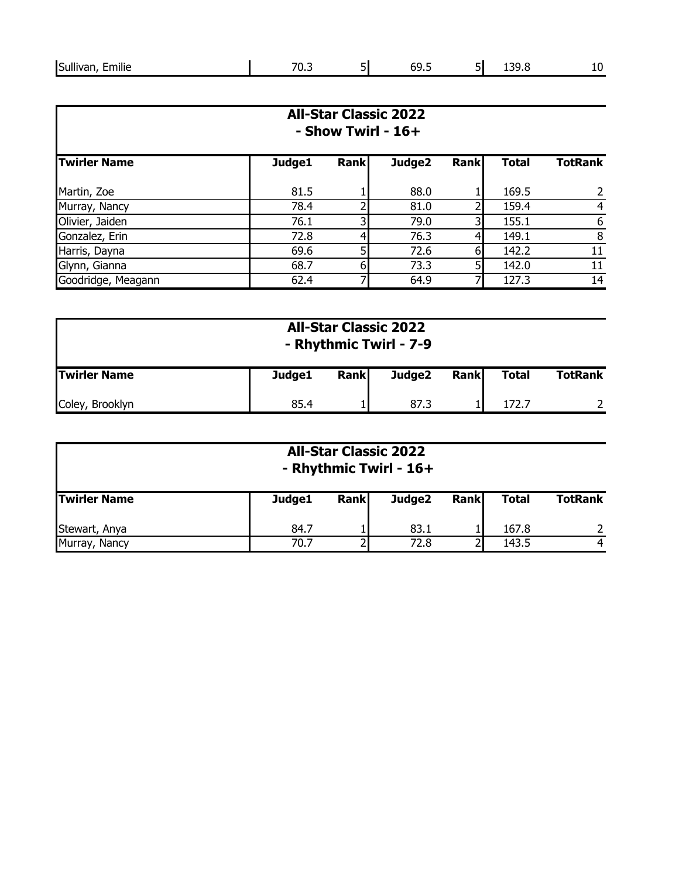|  | Sull<br><br>$\cdots$<br>milie<br>аι<br>______ | 70<br>___ | -<br>וכ | -<br>n<br>. .<br>$ -$ | -<br>וכ | ה ה<br>∼<br>----- | - -<br>__ |
|--|-----------------------------------------------|-----------|---------|-----------------------|---------|-------------------|-----------|
|--|-----------------------------------------------|-----------|---------|-----------------------|---------|-------------------|-----------|

|                     | <b>All-Star Classic 2022</b><br>$-$ Show Twirl - 16+ |             |        |             |              |                |
|---------------------|------------------------------------------------------|-------------|--------|-------------|--------------|----------------|
| <b>Twirler Name</b> | Judge1                                               | <b>Rank</b> | Judge2 | <b>Rank</b> | <b>Total</b> | <b>TotRank</b> |
| Martin, Zoe         | 81.5                                                 |             | 88.0   |             | 169.5        | 2              |
| Murray, Nancy       | 78.4                                                 |             | 81.0   |             | 159.4        | 4              |
| Olivier, Jaiden     | 76.1                                                 | 3           | 79.0   | 3           | 155.1        | 6              |
| Gonzalez, Erin      | 72.8                                                 |             | 76.3   |             | 149.1        | 8              |
| Harris, Dayna       | 69.6                                                 | 51          | 72.6   | 6           | 142.2        | 11             |
| Glynn, Gianna       | 68.7                                                 | 6           | 73.3   | 5           | 142.0        | 11             |
| Goodridge, Meagann  | 62.4                                                 |             | 64.9   |             | 127.3        | 14             |

|                     |        |             | <b>All-Star Classic 2022</b><br>- Rhythmic Twirl - 7-9 |             |              |                |
|---------------------|--------|-------------|--------------------------------------------------------|-------------|--------------|----------------|
| <b>Twirler Name</b> | Judge1 | <b>Rank</b> | Judge2                                                 | <b>Rank</b> | <b>Total</b> | <b>TotRank</b> |
| Coley, Brooklyn     | 85.4   |             | 87.3                                                   |             | 172.7        |                |

|                     |        | <b>All-Star Classic 2022</b> | - Rhythmic Twirl - 16+ |             |       |                |
|---------------------|--------|------------------------------|------------------------|-------------|-------|----------------|
| <b>Twirler Name</b> | Judge1 | <b>Rank</b>                  | Judge2                 | <b>Rank</b> | Total | <b>TotRank</b> |
| Stewart, Anya       | 84.7   |                              | 83.1                   |             | 167.8 | $\mathcal{P}$  |
| Murray, Nancy       | 70.7   |                              | 72.8                   |             | 143.5 | 4              |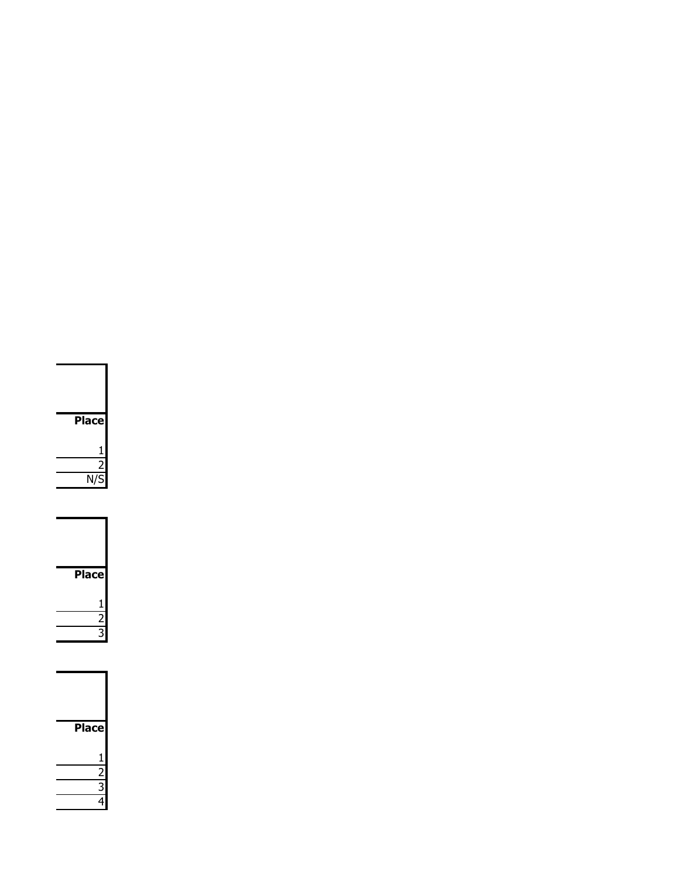| <b>Place</b> |
|--------------|
| j            |
|              |
| N/S          |

| <b>Place</b> |
|--------------|
| 1            |
|              |
|              |

| <b>Place</b>  |  |
|---------------|--|
|               |  |
| $\frac{1}{2}$ |  |
|               |  |